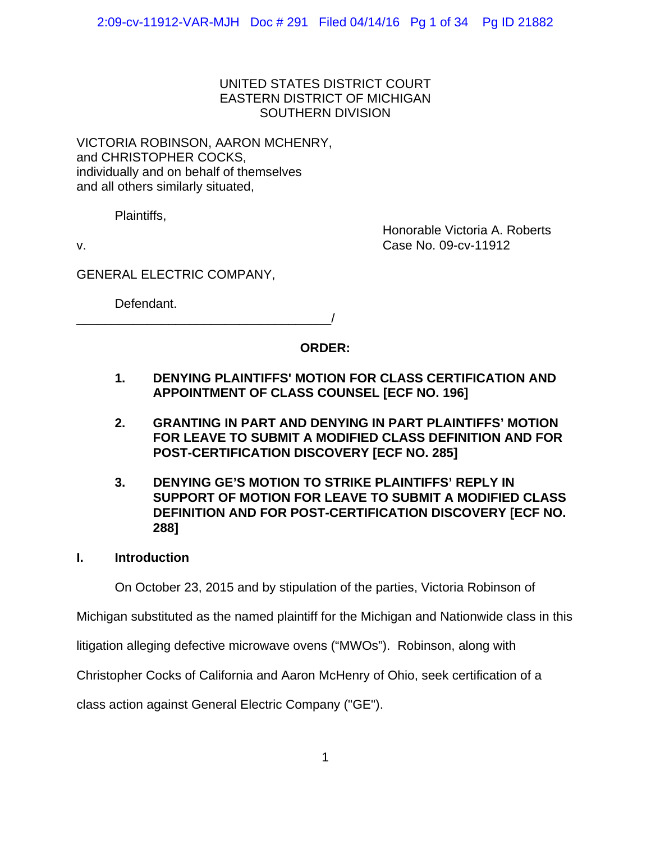## UNITED STATES DISTRICT COURT EASTERN DISTRICT OF MICHIGAN SOUTHERN DIVISION

VICTORIA ROBINSON, AARON MCHENRY, and CHRISTOPHER COCKS, individually and on behalf of themselves and all others similarly situated,

Plaintiffs,

Honorable Victoria A. Roberts v. Case No. 09-cv-11912

GENERAL ELECTRIC COMPANY,

Defendant.

\_\_\_\_\_\_\_\_\_\_\_\_\_\_\_\_\_\_\_\_\_\_\_\_\_\_\_\_\_\_\_\_\_\_\_\_/

# **ORDER:**

- **1. DENYING PLAINTIFFS' MOTION FOR CLASS CERTIFICATION AND APPOINTMENT OF CLASS COUNSEL [ECF NO. 196]**
- **2. GRANTING IN PART AND DENYING IN PART PLAINTIFFS' MOTION FOR LEAVE TO SUBMIT A MODIFIED CLASS DEFINITION AND FOR POST-CERTIFICATION DISCOVERY [ECF NO. 285]**
- **3. DENYING GE'S MOTION TO STRIKE PLAINTIFFS' REPLY IN SUPPORT OF MOTION FOR LEAVE TO SUBMIT A MODIFIED CLASS DEFINITION AND FOR POST-CERTIFICATION DISCOVERY [ECF NO. 288]**
- **I. Introduction**

On October 23, 2015 and by stipulation of the parties, Victoria Robinson of

Michigan substituted as the named plaintiff for the Michigan and Nationwide class in this

litigation alleging defective microwave ovens ("MWOs"). Robinson, along with

Christopher Cocks of California and Aaron McHenry of Ohio, seek certification of a

class action against General Electric Company ("GE").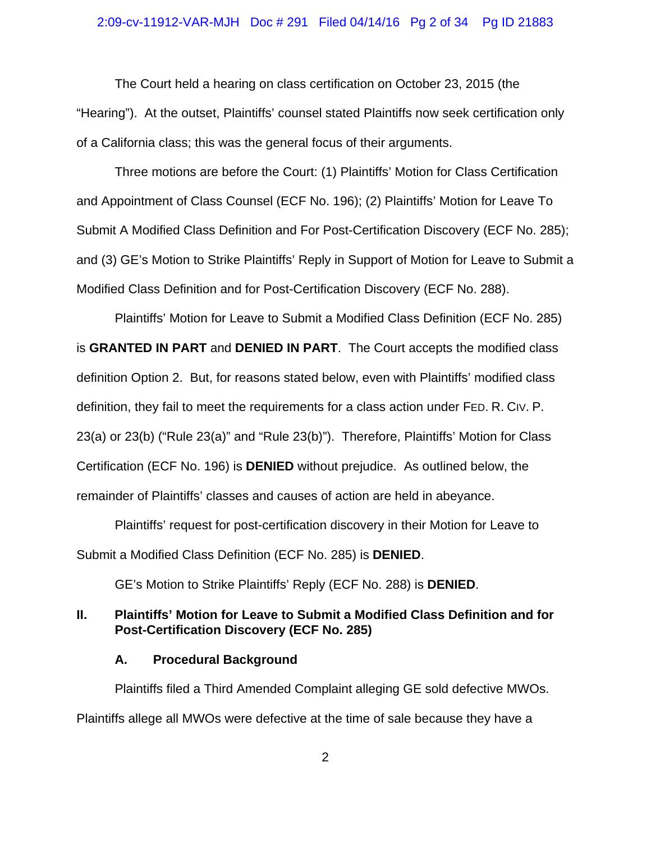## 2:09-cv-11912-VAR-MJH Doc # 291 Filed 04/14/16 Pg 2 of 34 Pg ID 21883

The Court held a hearing on class certification on October 23, 2015 (the "Hearing"). At the outset, Plaintiffs' counsel stated Plaintiffs now seek certification only of a California class; this was the general focus of their arguments.

Three motions are before the Court: (1) Plaintiffs' Motion for Class Certification and Appointment of Class Counsel (ECF No. 196); (2) Plaintiffs' Motion for Leave To Submit A Modified Class Definition and For Post-Certification Discovery (ECF No. 285); and (3) GE's Motion to Strike Plaintiffs' Reply in Support of Motion for Leave to Submit a Modified Class Definition and for Post-Certification Discovery (ECF No. 288).

Plaintiffs' Motion for Leave to Submit a Modified Class Definition (ECF No. 285) is **GRANTED IN PART** and **DENIED IN PART**. The Court accepts the modified class definition Option 2. But, for reasons stated below, even with Plaintiffs' modified class definition, they fail to meet the requirements for a class action under FED. R. CIV. P. 23(a) or 23(b) ("Rule 23(a)" and "Rule 23(b)"). Therefore, Plaintiffs' Motion for Class Certification (ECF No. 196) is **DENIED** without prejudice. As outlined below, the remainder of Plaintiffs' classes and causes of action are held in abeyance.

Plaintiffs' request for post-certification discovery in their Motion for Leave to Submit a Modified Class Definition (ECF No. 285) is **DENIED**.

GE's Motion to Strike Plaintiffs' Reply (ECF No. 288) is **DENIED**.

## **II. Plaintiffs' Motion for Leave to Submit a Modified Class Definition and for Post-Certification Discovery (ECF No. 285)**

## **A. Procedural Background**

Plaintiffs filed a Third Amended Complaint alleging GE sold defective MWOs. Plaintiffs allege all MWOs were defective at the time of sale because they have a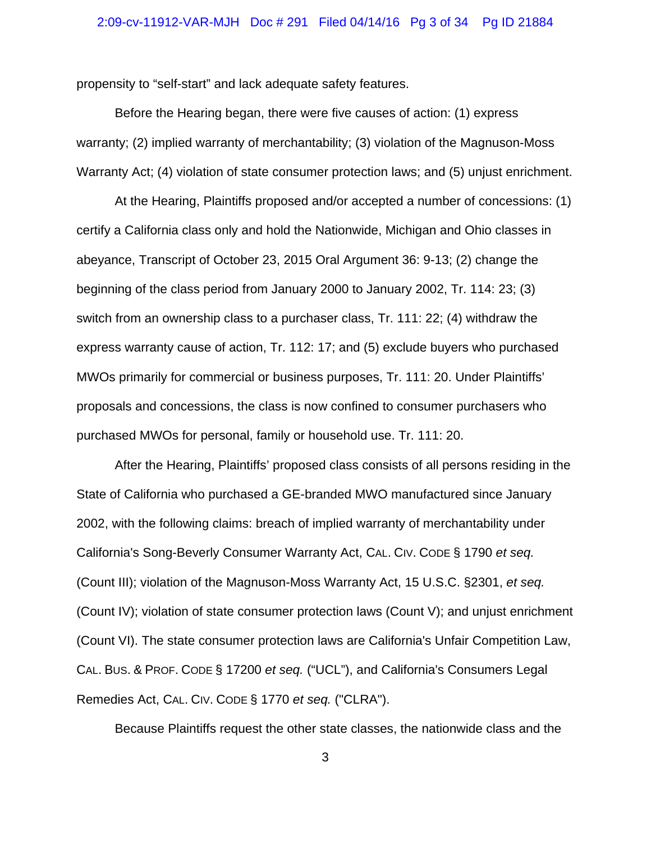## 2:09-cv-11912-VAR-MJH Doc # 291 Filed 04/14/16 Pg 3 of 34 Pg ID 21884

propensity to "self-start" and lack adequate safety features.

Before the Hearing began, there were five causes of action: (1) express warranty; (2) implied warranty of merchantability; (3) violation of the Magnuson-Moss Warranty Act; (4) violation of state consumer protection laws; and (5) unjust enrichment.

At the Hearing, Plaintiffs proposed and/or accepted a number of concessions: (1) certify a California class only and hold the Nationwide, Michigan and Ohio classes in abeyance, Transcript of October 23, 2015 Oral Argument 36: 9-13; (2) change the beginning of the class period from January 2000 to January 2002, Tr. 114: 23; (3) switch from an ownership class to a purchaser class, Tr. 111: 22; (4) withdraw the express warranty cause of action, Tr. 112: 17; and (5) exclude buyers who purchased MWOs primarily for commercial or business purposes, Tr. 111: 20. Under Plaintiffs' proposals and concessions, the class is now confined to consumer purchasers who purchased MWOs for personal, family or household use. Tr. 111: 20.

After the Hearing, Plaintiffs' proposed class consists of all persons residing in the State of California who purchased a GE-branded MWO manufactured since January 2002, with the following claims: breach of implied warranty of merchantability under California's Song-Beverly Consumer Warranty Act, CAL. CIV. CODE § 1790 *et seq.* (Count III); violation of the Magnuson-Moss Warranty Act, 15 U.S.C. §2301, *et seq.* (Count IV); violation of state consumer protection laws (Count V); and unjust enrichment (Count VI). The state consumer protection laws are California's Unfair Competition Law, CAL. BUS. & PROF. CODE § 17200 *et seq.* ("UCL"), and California's Consumers Legal Remedies Act, CAL. CIV. CODE § 1770 *et seq.* ("CLRA").

Because Plaintiffs request the other state classes, the nationwide class and the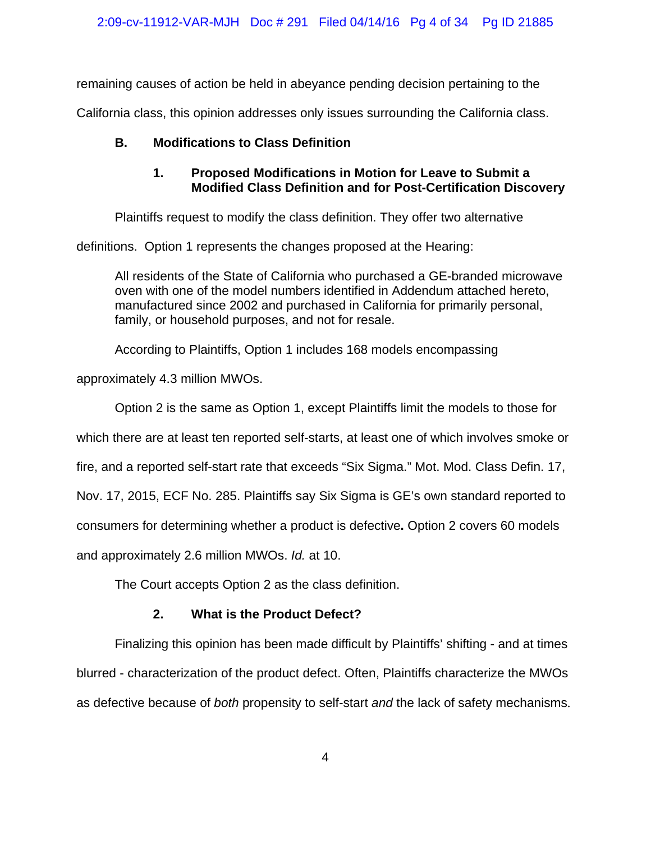remaining causes of action be held in abeyance pending decision pertaining to the

California class, this opinion addresses only issues surrounding the California class.

# **B. Modifications to Class Definition**

# **1. Proposed Modifications in Motion for Leave to Submit a Modified Class Definition and for Post-Certification Discovery**

Plaintiffs request to modify the class definition. They offer two alternative

definitions. Option 1 represents the changes proposed at the Hearing:

All residents of the State of California who purchased a GE-branded microwave oven with one of the model numbers identified in Addendum attached hereto, manufactured since 2002 and purchased in California for primarily personal, family, or household purposes, and not for resale.

According to Plaintiffs, Option 1 includes 168 models encompassing

approximately 4.3 million MWOs.

Option 2 is the same as Option 1, except Plaintiffs limit the models to those for

which there are at least ten reported self-starts, at least one of which involves smoke or

fire, and a reported self-start rate that exceeds "Six Sigma." Mot. Mod. Class Defin. 17,

Nov. 17, 2015, ECF No. 285. Plaintiffs say Six Sigma is GE's own standard reported to

consumers for determining whether a product is defective**.** Option 2 covers 60 models

and approximately 2.6 million MWOs. *Id.* at 10.

The Court accepts Option 2 as the class definition.

# **2. What is the Product Defect?**

Finalizing this opinion has been made difficult by Plaintiffs' shifting - and at times blurred - characterization of the product defect. Often, Plaintiffs characterize the MWOs as defective because of *both* propensity to self-start *and* the lack of safety mechanisms.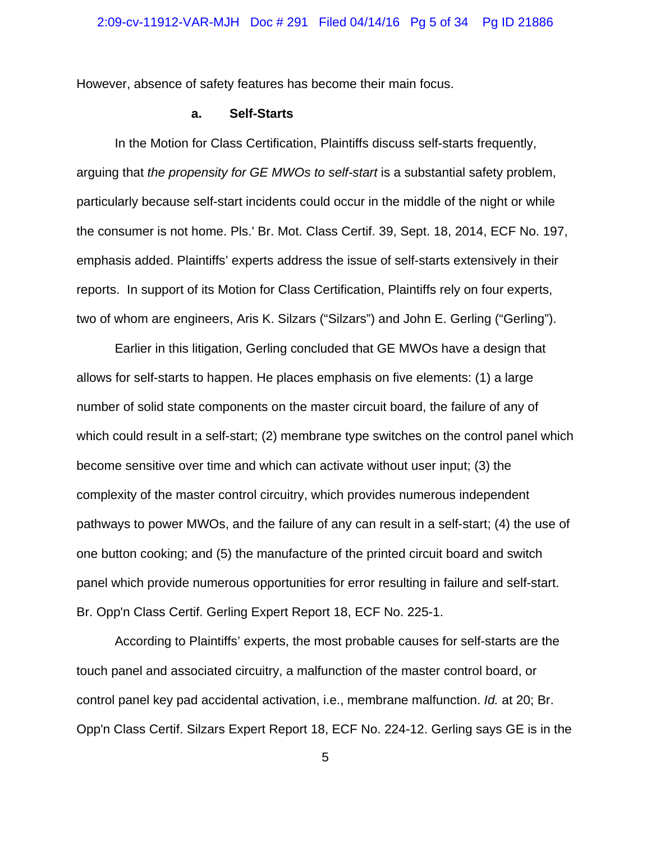However, absence of safety features has become their main focus.

## **a. Self-Starts**

In the Motion for Class Certification, Plaintiffs discuss self-starts frequently, arguing that *the propensity for GE MWOs to self-start* is a substantial safety problem, particularly because self-start incidents could occur in the middle of the night or while the consumer is not home. Pls.' Br. Mot. Class Certif. 39, Sept. 18, 2014, ECF No. 197, emphasis added. Plaintiffs' experts address the issue of self-starts extensively in their reports. In support of its Motion for Class Certification, Plaintiffs rely on four experts, two of whom are engineers, Aris K. Silzars ("Silzars") and John E. Gerling ("Gerling").

Earlier in this litigation, Gerling concluded that GE MWOs have a design that allows for self-starts to happen. He places emphasis on five elements: (1) a large number of solid state components on the master circuit board, the failure of any of which could result in a self-start; (2) membrane type switches on the control panel which become sensitive over time and which can activate without user input; (3) the complexity of the master control circuitry, which provides numerous independent pathways to power MWOs, and the failure of any can result in a self-start; (4) the use of one button cooking; and (5) the manufacture of the printed circuit board and switch panel which provide numerous opportunities for error resulting in failure and self-start. Br. Opp'n Class Certif. Gerling Expert Report 18, ECF No. 225-1.

According to Plaintiffs' experts, the most probable causes for self-starts are the touch panel and associated circuitry, a malfunction of the master control board, or control panel key pad accidental activation, i.e., membrane malfunction. *Id.* at 20; Br. Opp'n Class Certif. Silzars Expert Report 18, ECF No. 224-12. Gerling says GE is in the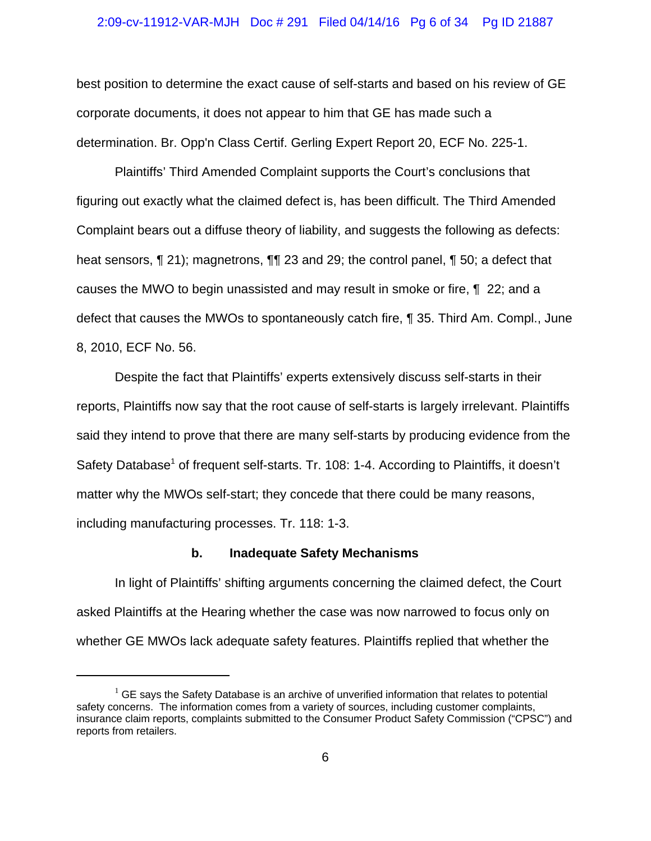## 2:09-cv-11912-VAR-MJH Doc # 291 Filed 04/14/16 Pg 6 of 34 Pg ID 21887

best position to determine the exact cause of self-starts and based on his review of GE corporate documents, it does not appear to him that GE has made such a determination. Br. Opp'n Class Certif. Gerling Expert Report 20, ECF No. 225-1.

Plaintiffs' Third Amended Complaint supports the Court's conclusions that figuring out exactly what the claimed defect is, has been difficult. The Third Amended Complaint bears out a diffuse theory of liability, and suggests the following as defects: heat sensors, ¶ 21); magnetrons, ¶¶ 23 and 29; the control panel, ¶ 50; a defect that causes the MWO to begin unassisted and may result in smoke or fire, ¶ 22; and a defect that causes the MWOs to spontaneously catch fire, ¶ 35. Third Am. Compl., June 8, 2010, ECF No. 56.

Despite the fact that Plaintiffs' experts extensively discuss self-starts in their reports, Plaintiffs now say that the root cause of self-starts is largely irrelevant. Plaintiffs said they intend to prove that there are many self-starts by producing evidence from the Safety Database<sup>1</sup> of frequent self-starts. Tr. 108: 1-4. According to Plaintiffs, it doesn't matter why the MWOs self-start; they concede that there could be many reasons, including manufacturing processes. Tr. 118: 1-3.

## **b. Inadequate Safety Mechanisms**

In light of Plaintiffs' shifting arguments concerning the claimed defect, the Court asked Plaintiffs at the Hearing whether the case was now narrowed to focus only on whether GE MWOs lack adequate safety features. Plaintiffs replied that whether the

 $1$  GE says the Safety Database is an archive of unverified information that relates to potential safety concerns. The information comes from a variety of sources, including customer complaints, insurance claim reports, complaints submitted to the Consumer Product Safety Commission ("CPSC") and reports from retailers.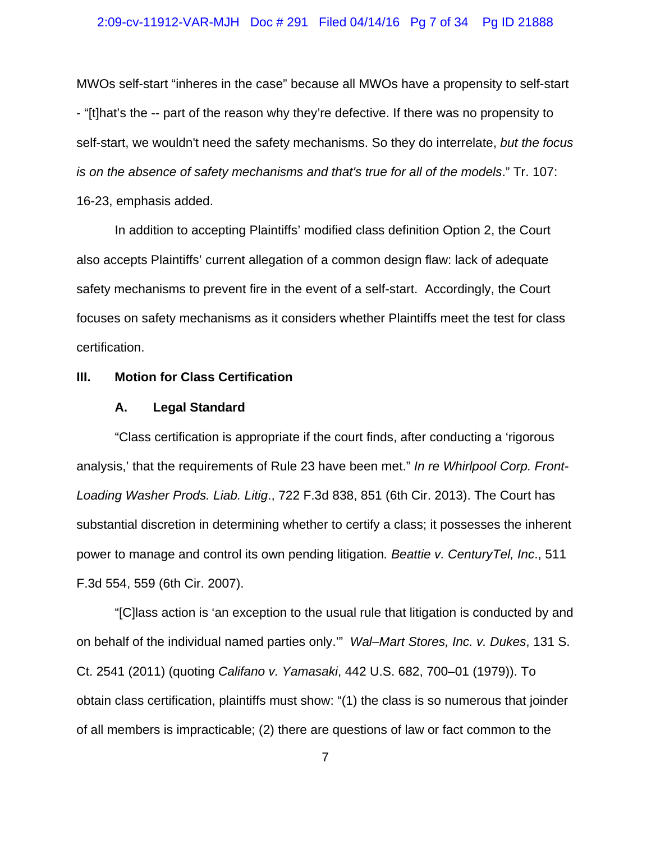## 2:09-cv-11912-VAR-MJH Doc # 291 Filed 04/14/16 Pg 7 of 34 Pg ID 21888

MWOs self-start "inheres in the case" because all MWOs have a propensity to self-start - "[t]hat's the -- part of the reason why they're defective. If there was no propensity to self-start, we wouldn't need the safety mechanisms. So they do interrelate, *but the focus is on the absence of safety mechanisms and that's true for all of the models*." Tr. 107: 16-23, emphasis added.

In addition to accepting Plaintiffs' modified class definition Option 2, the Court also accepts Plaintiffs' current allegation of a common design flaw: lack of adequate safety mechanisms to prevent fire in the event of a self-start. Accordingly, the Court focuses on safety mechanisms as it considers whether Plaintiffs meet the test for class certification.

## **III. Motion for Class Certification**

## **A. Legal Standard**

"Class certification is appropriate if the court finds, after conducting a 'rigorous analysis,' that the requirements of Rule 23 have been met." *In re Whirlpool Corp. Front-Loading Washer Prods. Liab. Litig*., 722 F.3d 838, 851 (6th Cir. 2013). The Court has substantial discretion in determining whether to certify a class; it possesses the inherent power to manage and control its own pending litigation*. Beattie v. CenturyTel, Inc*., 511 F.3d 554, 559 (6th Cir. 2007).

"[C]lass action is 'an exception to the usual rule that litigation is conducted by and on behalf of the individual named parties only.'" *Wal–Mart Stores, Inc. v. Dukes*, 131 S. Ct. 2541 (2011) (quoting *Califano v. Yamasaki*, 442 U.S. 682, 700–01 (1979)). To obtain class certification, plaintiffs must show: "(1) the class is so numerous that joinder of all members is impracticable; (2) there are questions of law or fact common to the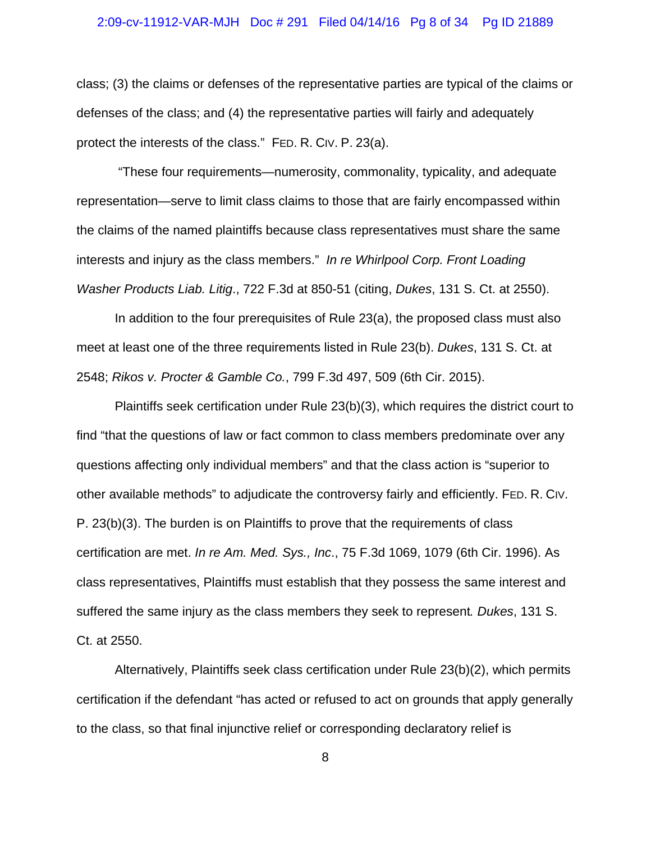## 2:09-cv-11912-VAR-MJH Doc # 291 Filed 04/14/16 Pg 8 of 34 Pg ID 21889

class; (3) the claims or defenses of the representative parties are typical of the claims or defenses of the class; and (4) the representative parties will fairly and adequately protect the interests of the class." FED. R. CIV. P. 23(a).

 "These four requirements—numerosity, commonality, typicality, and adequate representation—serve to limit class claims to those that are fairly encompassed within the claims of the named plaintiffs because class representatives must share the same interests and injury as the class members." *In re Whirlpool Corp. Front Loading Washer Products Liab. Litig*., 722 F.3d at 850-51 (citing, *Dukes*, 131 S. Ct. at 2550).

In addition to the four prerequisites of Rule 23(a), the proposed class must also meet at least one of the three requirements listed in Rule 23(b). *Dukes*, 131 S. Ct. at 2548; *Rikos v. Procter & Gamble Co.*, 799 F.3d 497, 509 (6th Cir. 2015).

Plaintiffs seek certification under Rule 23(b)(3), which requires the district court to find "that the questions of law or fact common to class members predominate over any questions affecting only individual members" and that the class action is "superior to other available methods" to adjudicate the controversy fairly and efficiently. FED. R. CIV. P. 23(b)(3). The burden is on Plaintiffs to prove that the requirements of class certification are met. *In re Am. Med. Sys., Inc*., 75 F.3d 1069, 1079 (6th Cir. 1996). As class representatives, Plaintiffs must establish that they possess the same interest and suffered the same injury as the class members they seek to represent*. Dukes*, 131 S. Ct. at 2550.

Alternatively, Plaintiffs seek class certification under Rule 23(b)(2), which permits certification if the defendant "has acted or refused to act on grounds that apply generally to the class, so that final injunctive relief or corresponding declaratory relief is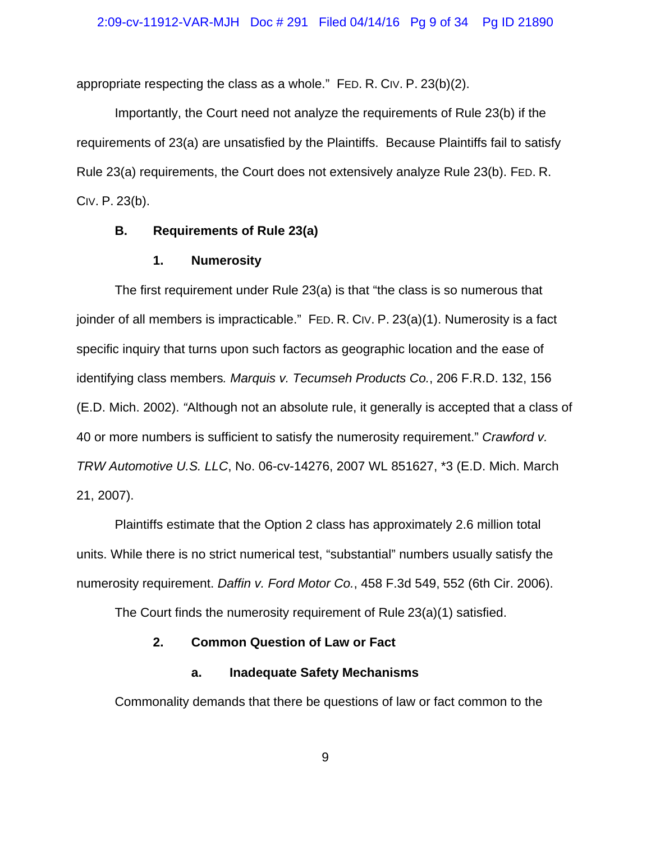appropriate respecting the class as a whole." FED. R. CIV. P. 23(b)(2).

Importantly, the Court need not analyze the requirements of Rule 23(b) if the requirements of 23(a) are unsatisfied by the Plaintiffs. Because Plaintiffs fail to satisfy Rule 23(a) requirements, the Court does not extensively analyze Rule 23(b). FED. R. CIV. P. 23(b).

## **B. Requirements of Rule 23(a)**

## **1. Numerosity**

The first requirement under Rule 23(a) is that "the class is so numerous that joinder of all members is impracticable." FED. R. CIV. P. 23(a)(1). Numerosity is a fact specific inquiry that turns upon such factors as geographic location and the ease of identifying class members*. Marquis v. Tecumseh Products Co.*, 206 F.R.D. 132, 156 (E.D. Mich. 2002). *"*Although not an absolute rule, it generally is accepted that a class of 40 or more numbers is sufficient to satisfy the numerosity requirement." *Crawford v. TRW Automotive U.S. LLC*, No. 06-cv-14276, 2007 WL 851627, \*3 (E.D. Mich. March 21, 2007).

Plaintiffs estimate that the Option 2 class has approximately 2.6 million total units. While there is no strict numerical test, "substantial" numbers usually satisfy the numerosity requirement. *Daffin v. Ford Motor Co.*, 458 F.3d 549, 552 (6th Cir. 2006).

The Court finds the numerosity requirement of Rule 23(a)(1) satisfied.

## **2. Common Question of Law or Fact**

## **a. Inadequate Safety Mechanisms**

Commonality demands that there be questions of law or fact common to the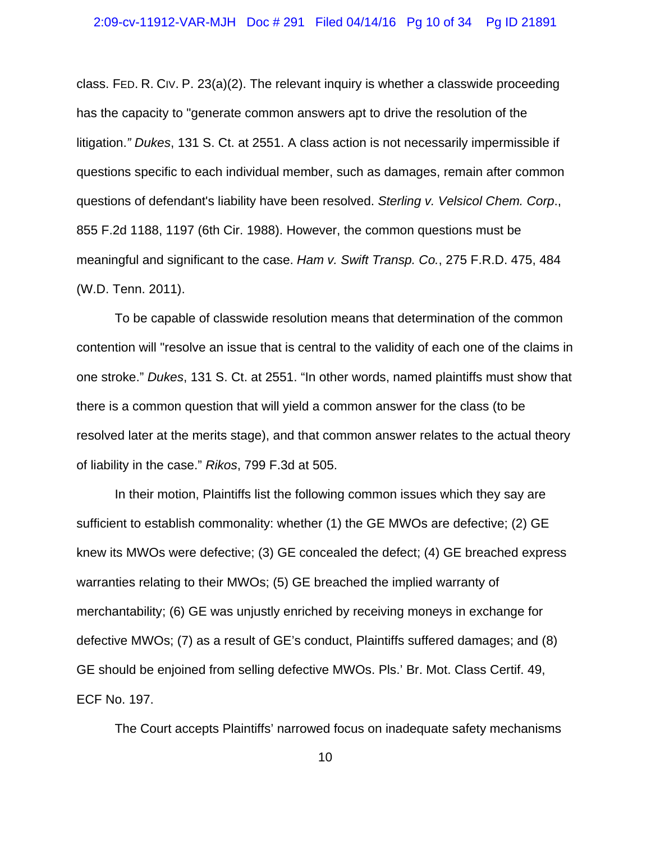## 2:09-cv-11912-VAR-MJH Doc # 291 Filed 04/14/16 Pg 10 of 34 Pg ID 21891

class. FED. R. CIV. P. 23(a)(2). The relevant inquiry is whether a classwide proceeding has the capacity to "generate common answers apt to drive the resolution of the litigation.*" Dukes*, 131 S. Ct. at 2551. A class action is not necessarily impermissible if questions specific to each individual member, such as damages, remain after common questions of defendant's liability have been resolved. *Sterling v. Velsicol Chem. Corp*., 855 F.2d 1188, 1197 (6th Cir. 1988). However, the common questions must be meaningful and significant to the case. *Ham v. Swift Transp. Co.*, 275 F.R.D. 475, 484 (W.D. Tenn. 2011).

To be capable of classwide resolution means that determination of the common contention will "resolve an issue that is central to the validity of each one of the claims in one stroke." *Dukes*, 131 S. Ct. at 2551. "In other words, named plaintiffs must show that there is a common question that will yield a common answer for the class (to be resolved later at the merits stage), and that common answer relates to the actual theory of liability in the case." *Rikos*, 799 F.3d at 505.

In their motion, Plaintiffs list the following common issues which they say are sufficient to establish commonality: whether (1) the GE MWOs are defective; (2) GE knew its MWOs were defective; (3) GE concealed the defect; (4) GE breached express warranties relating to their MWOs; (5) GE breached the implied warranty of merchantability; (6) GE was unjustly enriched by receiving moneys in exchange for defective MWOs; (7) as a result of GE's conduct, Plaintiffs suffered damages; and (8) GE should be enjoined from selling defective MWOs. Pls.' Br. Mot. Class Certif. 49, ECF No. 197.

The Court accepts Plaintiffs' narrowed focus on inadequate safety mechanisms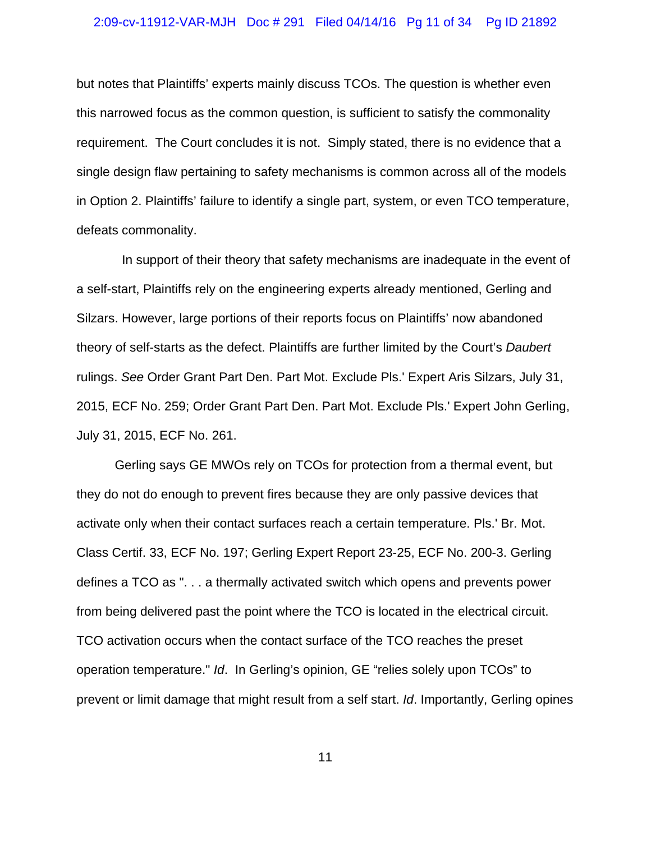## 2:09-cv-11912-VAR-MJH Doc # 291 Filed 04/14/16 Pg 11 of 34 Pg ID 21892

but notes that Plaintiffs' experts mainly discuss TCOs. The question is whether even this narrowed focus as the common question, is sufficient to satisfy the commonality requirement. The Court concludes it is not. Simply stated, there is no evidence that a single design flaw pertaining to safety mechanisms is common across all of the models in Option 2. Plaintiffs' failure to identify a single part, system, or even TCO temperature, defeats commonality.

 In support of their theory that safety mechanisms are inadequate in the event of a self-start, Plaintiffs rely on the engineering experts already mentioned, Gerling and Silzars. However, large portions of their reports focus on Plaintiffs' now abandoned theory of self-starts as the defect. Plaintiffs are further limited by the Court's *Daubert* rulings. *See* Order Grant Part Den. Part Mot. Exclude Pls.' Expert Aris Silzars, July 31, 2015, ECF No. 259; Order Grant Part Den. Part Mot. Exclude Pls.' Expert John Gerling, July 31, 2015, ECF No. 261.

Gerling says GE MWOs rely on TCOs for protection from a thermal event, but they do not do enough to prevent fires because they are only passive devices that activate only when their contact surfaces reach a certain temperature. Pls.' Br. Mot. Class Certif. 33, ECF No. 197; Gerling Expert Report 23-25, ECF No. 200-3. Gerling defines a TCO as ". . . a thermally activated switch which opens and prevents power from being delivered past the point where the TCO is located in the electrical circuit. TCO activation occurs when the contact surface of the TCO reaches the preset operation temperature." *Id*. In Gerling's opinion, GE "relies solely upon TCOs" to prevent or limit damage that might result from a self start. *Id*. Importantly, Gerling opines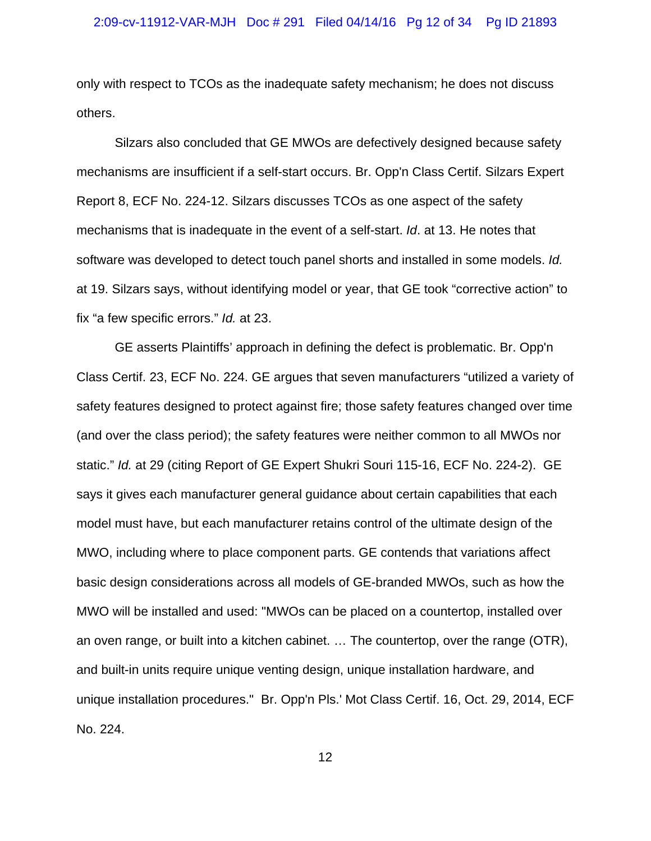only with respect to TCOs as the inadequate safety mechanism; he does not discuss others.

Silzars also concluded that GE MWOs are defectively designed because safety mechanisms are insufficient if a self-start occurs. Br. Opp'n Class Certif. Silzars Expert Report 8, ECF No. 224-12. Silzars discusses TCOs as one aspect of the safety mechanisms that is inadequate in the event of a self-start. *Id*. at 13. He notes that software was developed to detect touch panel shorts and installed in some models. *Id.* at 19. Silzars says, without identifying model or year, that GE took "corrective action" to fix "a few specific errors." *Id.* at 23.

GE asserts Plaintiffs' approach in defining the defect is problematic. Br. Opp'n Class Certif. 23, ECF No. 224. GE argues that seven manufacturers "utilized a variety of safety features designed to protect against fire; those safety features changed over time (and over the class period); the safety features were neither common to all MWOs nor static." *Id.* at 29 (citing Report of GE Expert Shukri Souri 115-16, ECF No. 224-2). GE says it gives each manufacturer general guidance about certain capabilities that each model must have, but each manufacturer retains control of the ultimate design of the MWO, including where to place component parts. GE contends that variations affect basic design considerations across all models of GE-branded MWOs, such as how the MWO will be installed and used: "MWOs can be placed on a countertop, installed over an oven range, or built into a kitchen cabinet. … The countertop, over the range (OTR), and built-in units require unique venting design, unique installation hardware, and unique installation procedures." Br. Opp'n Pls.' Mot Class Certif. 16, Oct. 29, 2014, ECF No. 224.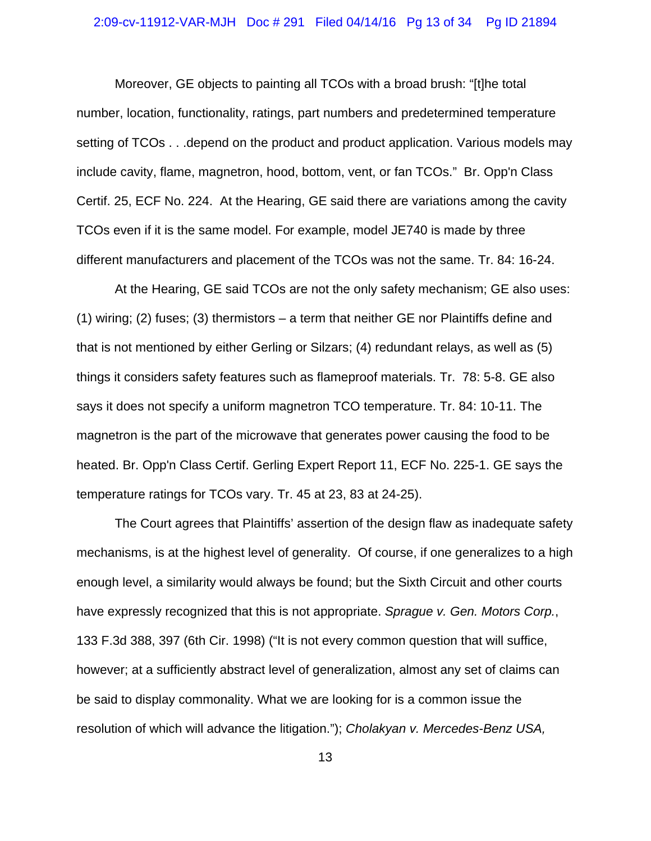#### 2:09-cv-11912-VAR-MJH Doc # 291 Filed 04/14/16 Pg 13 of 34 Pg ID 21894

Moreover, GE objects to painting all TCOs with a broad brush: "[t]he total number, location, functionality, ratings, part numbers and predetermined temperature setting of TCOs . . .depend on the product and product application. Various models may include cavity, flame, magnetron, hood, bottom, vent, or fan TCOs." Br. Opp'n Class Certif. 25, ECF No. 224. At the Hearing, GE said there are variations among the cavity TCOs even if it is the same model. For example, model JE740 is made by three different manufacturers and placement of the TCOs was not the same. Tr. 84: 16-24.

At the Hearing, GE said TCOs are not the only safety mechanism; GE also uses: (1) wiring; (2) fuses; (3) thermistors – a term that neither GE nor Plaintiffs define and that is not mentioned by either Gerling or Silzars; (4) redundant relays, as well as (5) things it considers safety features such as flameproof materials. Tr. 78: 5-8. GE also says it does not specify a uniform magnetron TCO temperature. Tr. 84: 10-11. The magnetron is the part of the microwave that generates power causing the food to be heated. Br. Opp'n Class Certif. Gerling Expert Report 11, ECF No. 225-1. GE says the temperature ratings for TCOs vary. Tr. 45 at 23, 83 at 24-25).

The Court agrees that Plaintiffs' assertion of the design flaw as inadequate safety mechanisms, is at the highest level of generality. Of course, if one generalizes to a high enough level, a similarity would always be found; but the Sixth Circuit and other courts have expressly recognized that this is not appropriate. *Sprague v. Gen. Motors Corp.*, 133 F.3d 388, 397 (6th Cir. 1998) ("It is not every common question that will suffice, however; at a sufficiently abstract level of generalization, almost any set of claims can be said to display commonality. What we are looking for is a common issue the resolution of which will advance the litigation."); *Cholakyan v. Mercedes-Benz USA,*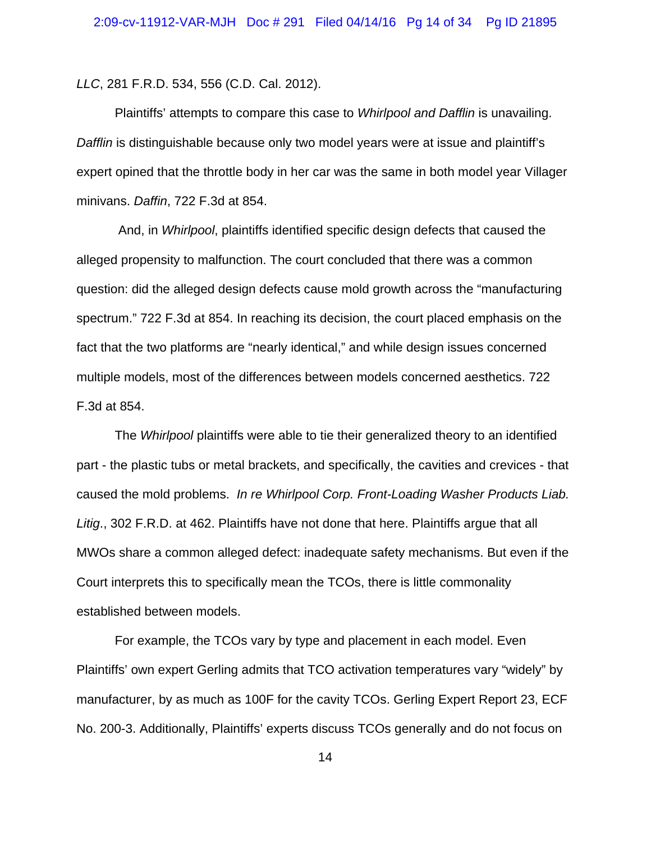*LLC*, 281 F.R.D. 534, 556 (C.D. Cal. 2012).

Plaintiffs' attempts to compare this case to *Whirlpool and Dafflin* is unavailing. *Dafflin* is distinguishable because only two model years were at issue and plaintiff's expert opined that the throttle body in her car was the same in both model year Villager minivans. *Daffin*, 722 F.3d at 854.

 And, in *Whirlpool*, plaintiffs identified specific design defects that caused the alleged propensity to malfunction. The court concluded that there was a common question: did the alleged design defects cause mold growth across the "manufacturing spectrum." 722 F.3d at 854. In reaching its decision, the court placed emphasis on the fact that the two platforms are "nearly identical," and while design issues concerned multiple models, most of the differences between models concerned aesthetics. 722 F.3d at 854.

The *Whirlpool* plaintiffs were able to tie their generalized theory to an identified part - the plastic tubs or metal brackets, and specifically, the cavities and crevices - that caused the mold problems. *In re Whirlpool Corp. Front-Loading Washer Products Liab. Litig*., 302 F.R.D. at 462. Plaintiffs have not done that here. Plaintiffs argue that all MWOs share a common alleged defect: inadequate safety mechanisms. But even if the Court interprets this to specifically mean the TCOs, there is little commonality established between models.

For example, the TCOs vary by type and placement in each model. Even Plaintiffs' own expert Gerling admits that TCO activation temperatures vary "widely" by manufacturer, by as much as 100F for the cavity TCOs. Gerling Expert Report 23, ECF No. 200-3. Additionally, Plaintiffs' experts discuss TCOs generally and do not focus on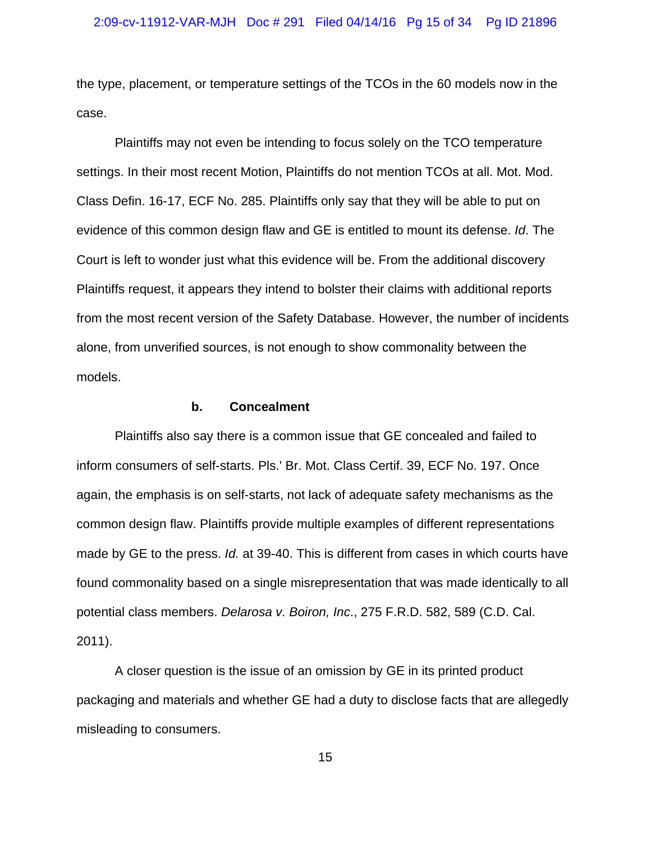the type, placement, or temperature settings of the TCOs in the 60 models now in the case.

Plaintiffs may not even be intending to focus solely on the TCO temperature settings. In their most recent Motion, Plaintiffs do not mention TCOs at all. Mot. Mod. Class Defin. 16-17, ECF No. 285. Plaintiffs only say that they will be able to put on evidence of this common design flaw and GE is entitled to mount its defense. *Id*. The Court is left to wonder just what this evidence will be. From the additional discovery Plaintiffs request, it appears they intend to bolster their claims with additional reports from the most recent version of the Safety Database. However, the number of incidents alone, from unverified sources, is not enough to show commonality between the models.

## **b. Concealment**

Plaintiffs also say there is a common issue that GE concealed and failed to inform consumers of self-starts. Pls.' Br. Mot. Class Certif. 39, ECF No. 197. Once again, the emphasis is on self-starts, not lack of adequate safety mechanisms as the common design flaw. Plaintiffs provide multiple examples of different representations made by GE to the press. *Id.* at 39-40. This is different from cases in which courts have found commonality based on a single misrepresentation that was made identically to all potential class members. *Delarosa v. Boiron, Inc*., 275 F.R.D. 582, 589 (C.D. Cal. 2011).

A closer question is the issue of an omission by GE in its printed product packaging and materials and whether GE had a duty to disclose facts that are allegedly misleading to consumers.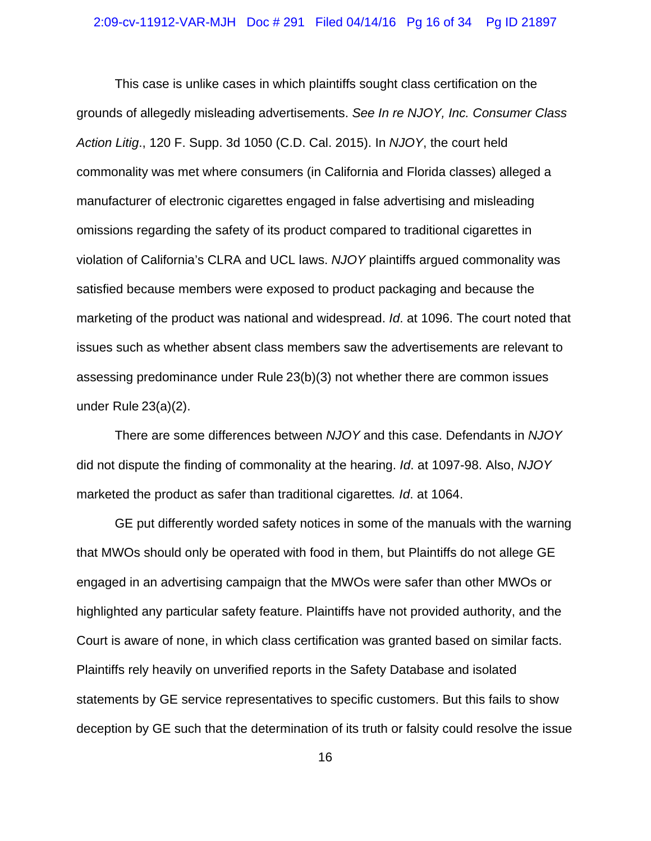#### 2:09-cv-11912-VAR-MJH Doc # 291 Filed 04/14/16 Pg 16 of 34 Pg ID 21897

This case is unlike cases in which plaintiffs sought class certification on the grounds of allegedly misleading advertisements. *See In re NJOY, Inc. Consumer Class Action Litig*., 120 F. Supp. 3d 1050 (C.D. Cal. 2015). In *NJOY*, the court held commonality was met where consumers (in California and Florida classes) alleged a manufacturer of electronic cigarettes engaged in false advertising and misleading omissions regarding the safety of its product compared to traditional cigarettes in violation of California's CLRA and UCL laws. *NJOY* plaintiffs argued commonality was satisfied because members were exposed to product packaging and because the marketing of the product was national and widespread. *Id*. at 1096. The court noted that issues such as whether absent class members saw the advertisements are relevant to assessing predominance under Rule 23(b)(3) not whether there are common issues under Rule 23(a)(2).

There are some differences between *NJOY* and this case. Defendants in *NJOY* did not dispute the finding of commonality at the hearing. *Id*. at 1097-98. Also, *NJOY* marketed the product as safer than traditional cigarettes*. Id*. at 1064.

GE put differently worded safety notices in some of the manuals with the warning that MWOs should only be operated with food in them, but Plaintiffs do not allege GE engaged in an advertising campaign that the MWOs were safer than other MWOs or highlighted any particular safety feature. Plaintiffs have not provided authority, and the Court is aware of none, in which class certification was granted based on similar facts. Plaintiffs rely heavily on unverified reports in the Safety Database and isolated statements by GE service representatives to specific customers. But this fails to show deception by GE such that the determination of its truth or falsity could resolve the issue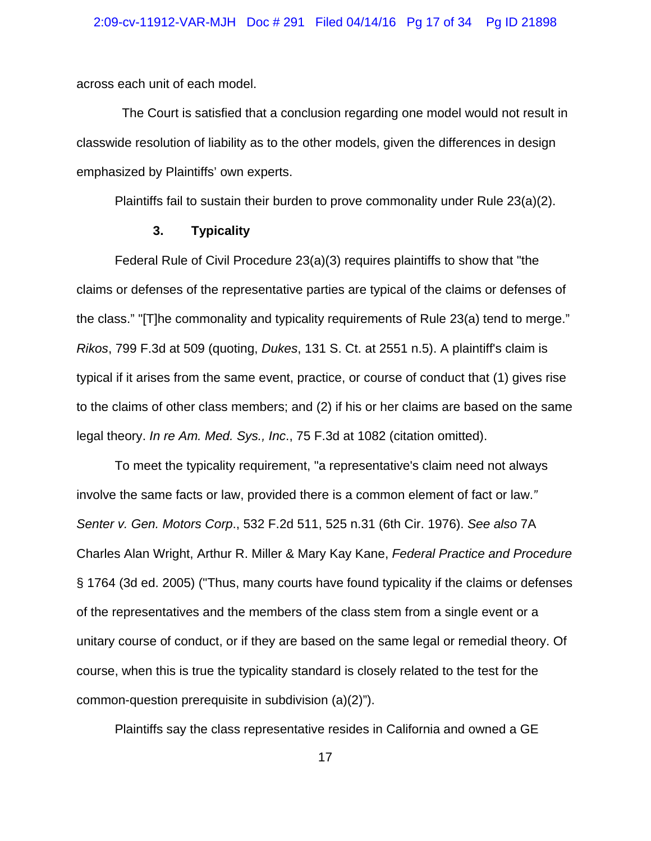across each unit of each model.

 The Court is satisfied that a conclusion regarding one model would not result in classwide resolution of liability as to the other models, given the differences in design emphasized by Plaintiffs' own experts.

Plaintiffs fail to sustain their burden to prove commonality under Rule 23(a)(2).

## **3. Typicality**

Federal Rule of Civil Procedure 23(a)(3) requires plaintiffs to show that "the claims or defenses of the representative parties are typical of the claims or defenses of the class." "[T]he commonality and typicality requirements of Rule 23(a) tend to merge." *Rikos*, 799 F.3d at 509 (quoting, *Dukes*, 131 S. Ct. at 2551 n.5). A plaintiff's claim is typical if it arises from the same event, practice, or course of conduct that (1) gives rise to the claims of other class members; and (2) if his or her claims are based on the same legal theory. *In re Am. Med. Sys., Inc*., 75 F.3d at 1082 (citation omitted).

To meet the typicality requirement, "a representative's claim need not always involve the same facts or law, provided there is a common element of fact or law.*" Senter v. Gen. Motors Corp*., 532 F.2d 511, 525 n.31 (6th Cir. 1976). *See also* 7A Charles Alan Wright, Arthur R. Miller & Mary Kay Kane, *Federal Practice and Procedure* § 1764 (3d ed. 2005) ("Thus, many courts have found typicality if the claims or defenses of the representatives and the members of the class stem from a single event or a unitary course of conduct, or if they are based on the same legal or remedial theory. Of course, when this is true the typicality standard is closely related to the test for the common-question prerequisite in subdivision (a)(2)").

Plaintiffs say the class representative resides in California and owned a GE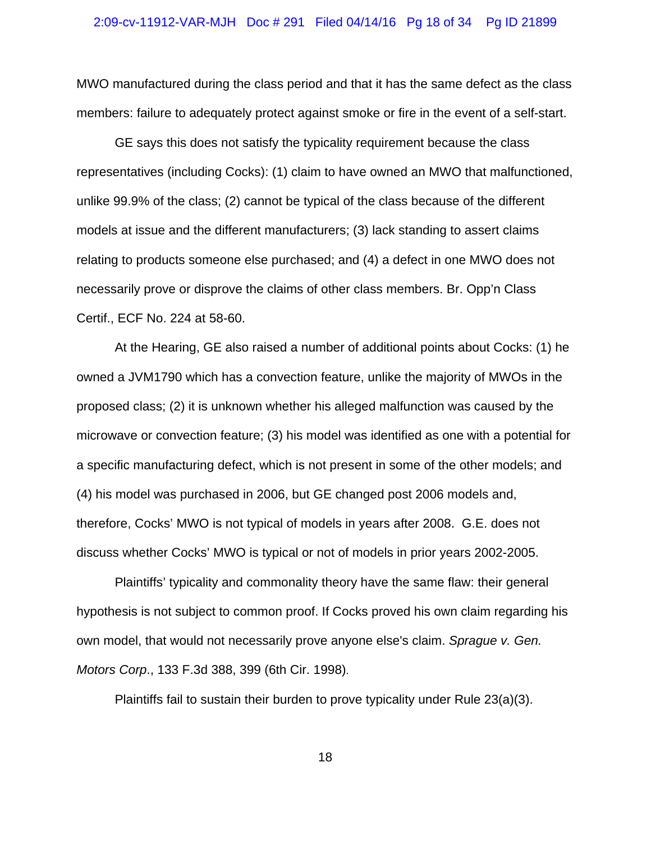## 2:09-cv-11912-VAR-MJH Doc # 291 Filed 04/14/16 Pg 18 of 34 Pg ID 21899

MWO manufactured during the class period and that it has the same defect as the class members: failure to adequately protect against smoke or fire in the event of a self-start.

GE says this does not satisfy the typicality requirement because the class representatives (including Cocks): (1) claim to have owned an MWO that malfunctioned, unlike 99.9% of the class; (2) cannot be typical of the class because of the different models at issue and the different manufacturers; (3) lack standing to assert claims relating to products someone else purchased; and (4) a defect in one MWO does not necessarily prove or disprove the claims of other class members. Br. Opp'n Class Certif., ECF No. 224 at 58-60.

At the Hearing, GE also raised a number of additional points about Cocks: (1) he owned a JVM1790 which has a convection feature, unlike the majority of MWOs in the proposed class; (2) it is unknown whether his alleged malfunction was caused by the microwave or convection feature; (3) his model was identified as one with a potential for a specific manufacturing defect, which is not present in some of the other models; and (4) his model was purchased in 2006, but GE changed post 2006 models and, therefore, Cocks' MWO is not typical of models in years after 2008. G.E. does not discuss whether Cocks' MWO is typical or not of models in prior years 2002-2005.

Plaintiffs' typicality and commonality theory have the same flaw: their general hypothesis is not subject to common proof. If Cocks proved his own claim regarding his own model, that would not necessarily prove anyone else's claim. *Sprague v. Gen. Motors Corp*., 133 F.3d 388, 399 (6th Cir. 1998).

Plaintiffs fail to sustain their burden to prove typicality under Rule 23(a)(3).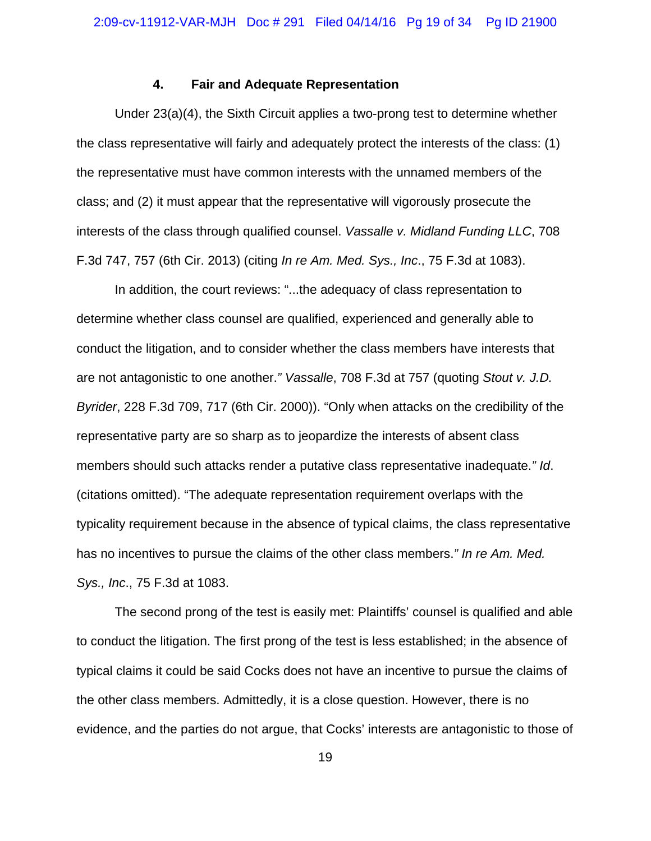## **4. Fair and Adequate Representation**

Under 23(a)(4), the Sixth Circuit applies a two-prong test to determine whether the class representative will fairly and adequately protect the interests of the class: (1) the representative must have common interests with the unnamed members of the class; and (2) it must appear that the representative will vigorously prosecute the interests of the class through qualified counsel. *Vassalle v. Midland Funding LLC*, 708 F.3d 747, 757 (6th Cir. 2013) (citing *In re Am. Med. Sys., Inc*., 75 F.3d at 1083).

In addition, the court reviews: "...the adequacy of class representation to determine whether class counsel are qualified, experienced and generally able to conduct the litigation, and to consider whether the class members have interests that are not antagonistic to one another.*" Vassalle*, 708 F.3d at 757 (quoting *Stout v. J.D. Byrider*, 228 F.3d 709, 717 (6th Cir. 2000)). "Only when attacks on the credibility of the representative party are so sharp as to jeopardize the interests of absent class members should such attacks render a putative class representative inadequate.*" Id*. (citations omitted). "The adequate representation requirement overlaps with the typicality requirement because in the absence of typical claims, the class representative has no incentives to pursue the claims of the other class members.*" In re Am. Med. Sys., Inc*., 75 F.3d at 1083.

The second prong of the test is easily met: Plaintiffs' counsel is qualified and able to conduct the litigation. The first prong of the test is less established; in the absence of typical claims it could be said Cocks does not have an incentive to pursue the claims of the other class members. Admittedly, it is a close question. However, there is no evidence, and the parties do not argue, that Cocks' interests are antagonistic to those of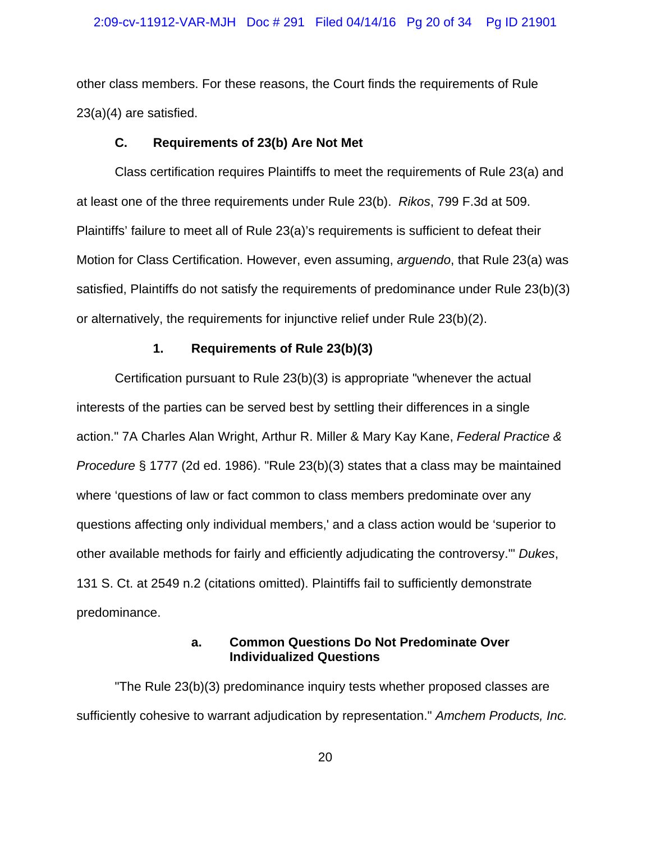#### 2:09-cv-11912-VAR-MJH Doc # 291 Filed 04/14/16 Pg 20 of 34 Pg ID 21901

other class members. For these reasons, the Court finds the requirements of Rule 23(a)(4) are satisfied.

## **C. Requirements of 23(b) Are Not Met**

Class certification requires Plaintiffs to meet the requirements of Rule 23(a) and at least one of the three requirements under Rule 23(b). *Rikos*, 799 F.3d at 509. Plaintiffs' failure to meet all of Rule 23(a)'s requirements is sufficient to defeat their Motion for Class Certification. However, even assuming, *arguendo*, that Rule 23(a) was satisfied, Plaintiffs do not satisfy the requirements of predominance under Rule 23(b)(3) or alternatively, the requirements for injunctive relief under Rule 23(b)(2).

## **1. Requirements of Rule 23(b)(3)**

Certification pursuant to Rule 23(b)(3) is appropriate "whenever the actual interests of the parties can be served best by settling their differences in a single action." 7A Charles Alan Wright, Arthur R. Miller & Mary Kay Kane, *Federal Practice & Procedure* § 1777 (2d ed. 1986). "Rule 23(b)(3) states that a class may be maintained where 'questions of law or fact common to class members predominate over any questions affecting only individual members,' and a class action would be 'superior to other available methods for fairly and efficiently adjudicating the controversy.'" *Dukes*, 131 S. Ct. at 2549 n.2 (citations omitted). Plaintiffs fail to sufficiently demonstrate predominance.

## **a. Common Questions Do Not Predominate Over Individualized Questions**

"The Rule 23(b)(3) predominance inquiry tests whether proposed classes are sufficiently cohesive to warrant adjudication by representation." *Amchem Products, Inc.*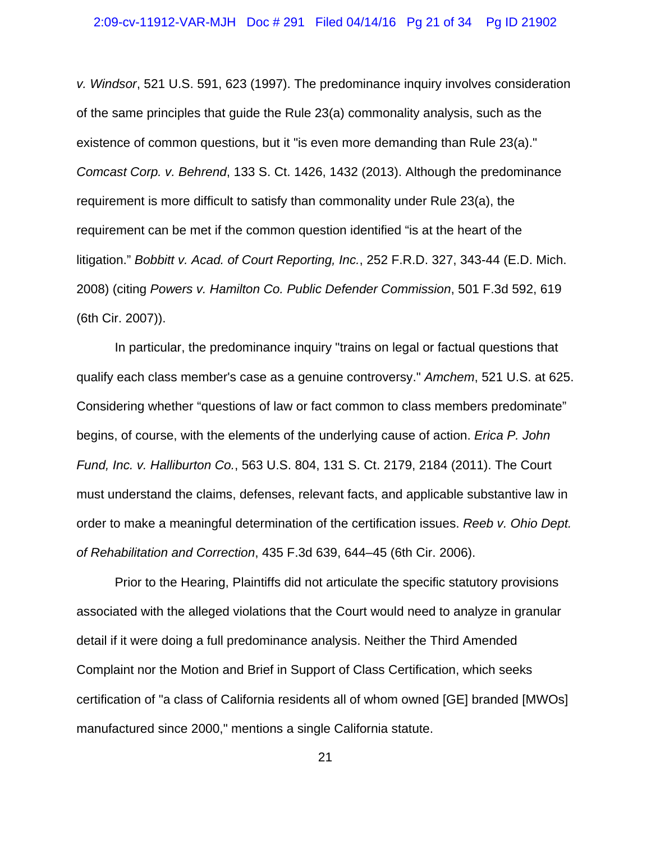*v. Windsor*, 521 U.S. 591, 623 (1997). The predominance inquiry involves consideration of the same principles that guide the Rule 23(a) commonality analysis, such as the existence of common questions, but it "is even more demanding than Rule 23(a)." *Comcast Corp. v. Behrend*, 133 S. Ct. 1426, 1432 (2013). Although the predominance requirement is more difficult to satisfy than commonality under Rule 23(a), the requirement can be met if the common question identified "is at the heart of the litigation." *Bobbitt v. Acad. of Court Reporting, Inc.*, 252 F.R.D. 327, 343-44 (E.D. Mich. 2008) (citing *Powers v. Hamilton Co. Public Defender Commission*, 501 F.3d 592, 619 (6th Cir. 2007)).

In particular, the predominance inquiry "trains on legal or factual questions that qualify each class member's case as a genuine controversy." *Amchem*, 521 U.S. at 625. Considering whether "questions of law or fact common to class members predominate" begins, of course, with the elements of the underlying cause of action. *Erica P. John Fund, Inc. v. Halliburton Co.*, 563 U.S. 804, 131 S. Ct. 2179, 2184 (2011). The Court must understand the claims, defenses, relevant facts, and applicable substantive law in order to make a meaningful determination of the certification issues. *Reeb v. Ohio Dept. of Rehabilitation and Correction*, 435 F.3d 639, 644–45 (6th Cir. 2006).

Prior to the Hearing, Plaintiffs did not articulate the specific statutory provisions associated with the alleged violations that the Court would need to analyze in granular detail if it were doing a full predominance analysis. Neither the Third Amended Complaint nor the Motion and Brief in Support of Class Certification, which seeks certification of "a class of California residents all of whom owned [GE] branded [MWOs] manufactured since 2000," mentions a single California statute.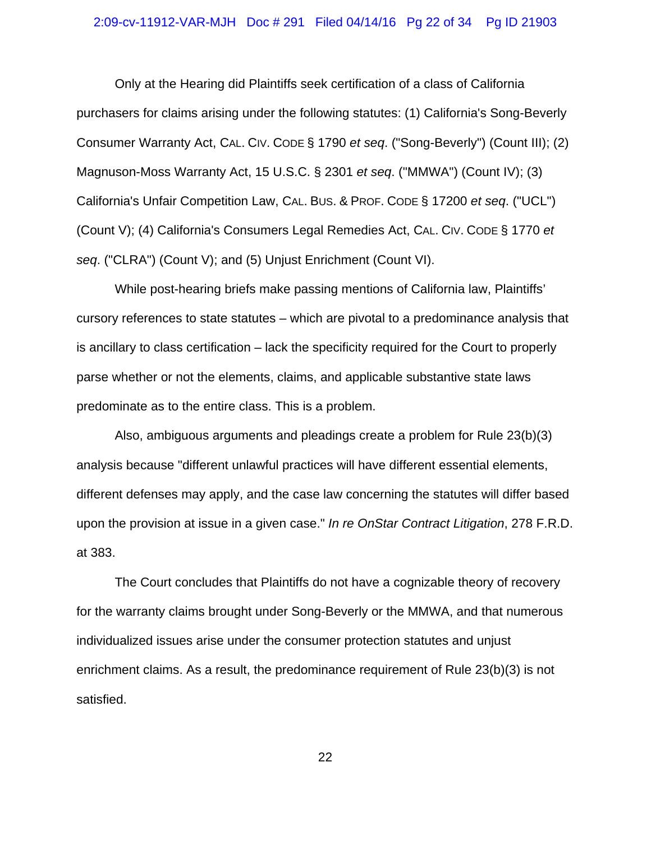## 2:09-cv-11912-VAR-MJH Doc # 291 Filed 04/14/16 Pg 22 of 34 Pg ID 21903

Only at the Hearing did Plaintiffs seek certification of a class of California purchasers for claims arising under the following statutes: (1) California's Song-Beverly Consumer Warranty Act, CAL. CIV. CODE § 1790 *et seq*. ("Song-Beverly") (Count III); (2) Magnuson-Moss Warranty Act, 15 U.S.C. § 2301 *et seq*. ("MMWA") (Count IV); (3) California's Unfair Competition Law, CAL. BUS. & PROF. CODE § 17200 *et seq*. ("UCL") (Count V); (4) California's Consumers Legal Remedies Act, CAL. CIV. CODE § 1770 *et seq*. ("CLRA") (Count V); and (5) Unjust Enrichment (Count VI).

While post-hearing briefs make passing mentions of California law, Plaintiffs' cursory references to state statutes – which are pivotal to a predominance analysis that is ancillary to class certification – lack the specificity required for the Court to properly parse whether or not the elements, claims, and applicable substantive state laws predominate as to the entire class. This is a problem.

Also, ambiguous arguments and pleadings create a problem for Rule 23(b)(3) analysis because "different unlawful practices will have different essential elements, different defenses may apply, and the case law concerning the statutes will differ based upon the provision at issue in a given case." *In re OnStar Contract Litigation*, 278 F.R.D. at 383.

The Court concludes that Plaintiffs do not have a cognizable theory of recovery for the warranty claims brought under Song-Beverly or the MMWA, and that numerous individualized issues arise under the consumer protection statutes and unjust enrichment claims. As a result, the predominance requirement of Rule 23(b)(3) is not satisfied.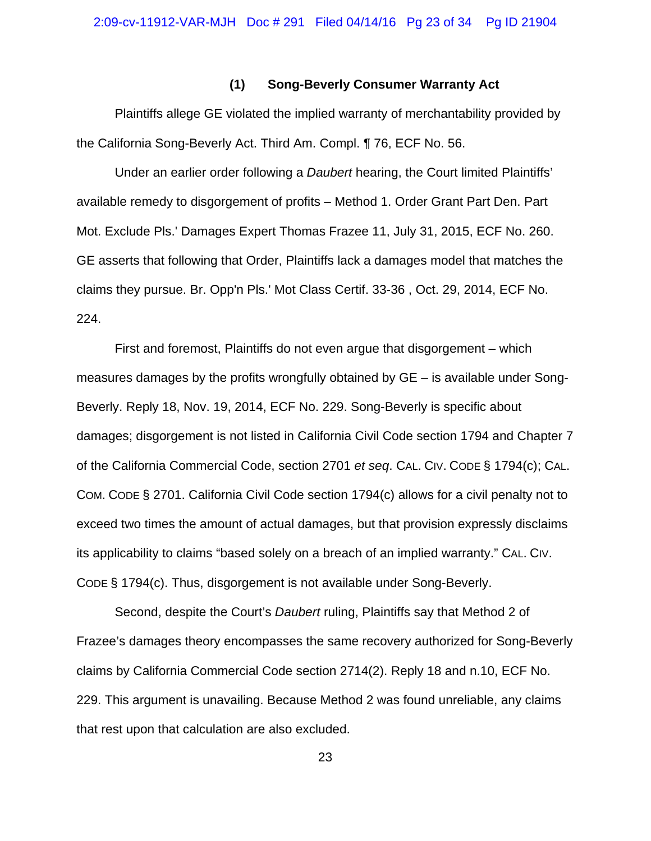## **(1) Song-Beverly Consumer Warranty Act**

Plaintiffs allege GE violated the implied warranty of merchantability provided by the California Song-Beverly Act. Third Am. Compl. ¶ 76, ECF No. 56.

Under an earlier order following a *Daubert* hearing, the Court limited Plaintiffs' available remedy to disgorgement of profits – Method 1. Order Grant Part Den. Part Mot. Exclude Pls.' Damages Expert Thomas Frazee 11, July 31, 2015, ECF No. 260. GE asserts that following that Order, Plaintiffs lack a damages model that matches the claims they pursue. Br. Opp'n Pls.' Mot Class Certif. 33-36 , Oct. 29, 2014, ECF No. 224.

First and foremost, Plaintiffs do not even argue that disgorgement – which measures damages by the profits wrongfully obtained by GE – is available under Song-Beverly. Reply 18, Nov. 19, 2014, ECF No. 229. Song-Beverly is specific about damages; disgorgement is not listed in California Civil Code section 1794 and Chapter 7 of the California Commercial Code, section 2701 *et seq*. CAL. CIV. CODE § 1794(c); CAL. COM. CODE § 2701. California Civil Code section 1794(c) allows for a civil penalty not to exceed two times the amount of actual damages, but that provision expressly disclaims its applicability to claims "based solely on a breach of an implied warranty." CAL. CIV. CODE § 1794(c). Thus, disgorgement is not available under Song-Beverly.

Second, despite the Court's *Daubert* ruling, Plaintiffs say that Method 2 of Frazee's damages theory encompasses the same recovery authorized for Song-Beverly claims by California Commercial Code section 2714(2). Reply 18 and n.10, ECF No. 229. This argument is unavailing. Because Method 2 was found unreliable, any claims that rest upon that calculation are also excluded.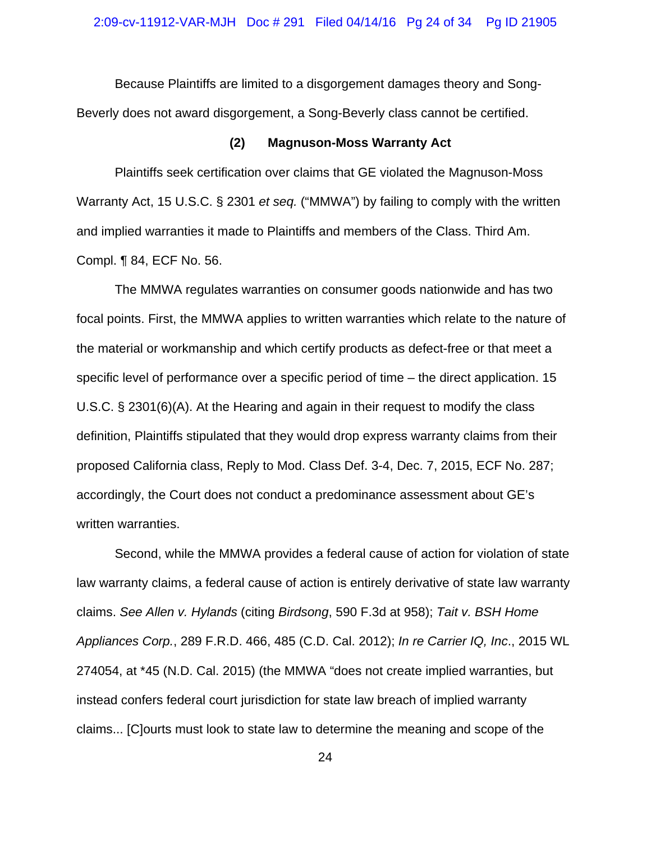Because Plaintiffs are limited to a disgorgement damages theory and Song-Beverly does not award disgorgement, a Song-Beverly class cannot be certified.

## **(2) Magnuson-Moss Warranty Act**

Plaintiffs seek certification over claims that GE violated the Magnuson-Moss Warranty Act, 15 U.S.C. § 2301 *et seq.* ("MMWA") by failing to comply with the written and implied warranties it made to Plaintiffs and members of the Class. Third Am. Compl. ¶ 84, ECF No. 56.

The MMWA regulates warranties on consumer goods nationwide and has two focal points. First, the MMWA applies to written warranties which relate to the nature of the material or workmanship and which certify products as defect-free or that meet a specific level of performance over a specific period of time – the direct application. 15 U.S.C. § 2301(6)(A). At the Hearing and again in their request to modify the class definition, Plaintiffs stipulated that they would drop express warranty claims from their proposed California class, Reply to Mod. Class Def. 3-4, Dec. 7, 2015, ECF No. 287; accordingly, the Court does not conduct a predominance assessment about GE's written warranties.

Second, while the MMWA provides a federal cause of action for violation of state law warranty claims, a federal cause of action is entirely derivative of state law warranty claims. *See Allen v. Hylands* (citing *Birdsong*, 590 F.3d at 958); *Tait v. BSH Home Appliances Corp.*, 289 F.R.D. 466, 485 (C.D. Cal. 2012); *In re Carrier IQ, Inc*., 2015 WL 274054, at \*45 (N.D. Cal. 2015) (the MMWA "does not create implied warranties, but instead confers federal court jurisdiction for state law breach of implied warranty claims... [C]ourts must look to state law to determine the meaning and scope of the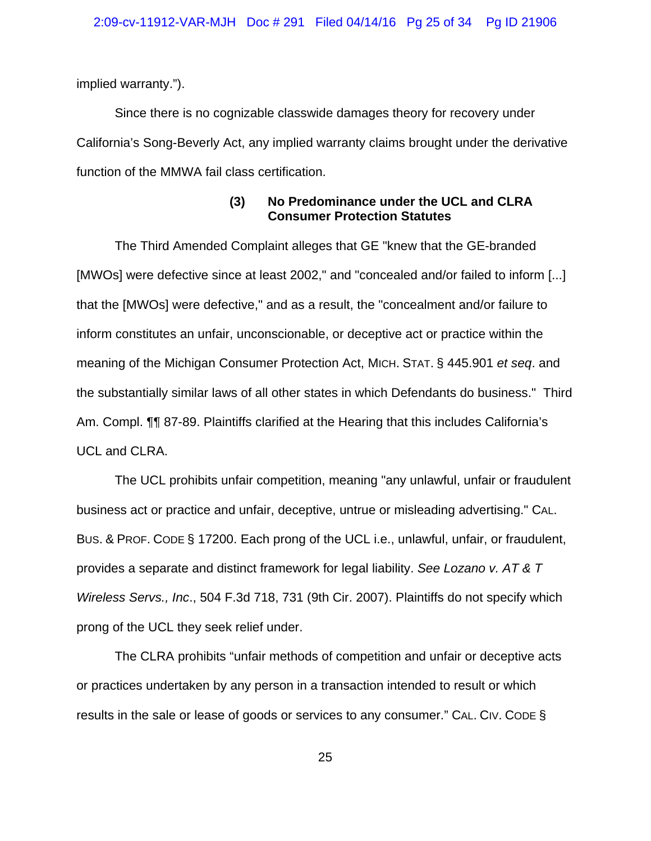implied warranty.").

Since there is no cognizable classwide damages theory for recovery under California's Song-Beverly Act, any implied warranty claims brought under the derivative function of the MMWA fail class certification.

## **(3) No Predominance under the UCL and CLRA Consumer Protection Statutes**

The Third Amended Complaint alleges that GE "knew that the GE-branded [MWOs] were defective since at least 2002," and "concealed and/or failed to inform [...] that the [MWOs] were defective," and as a result, the "concealment and/or failure to inform constitutes an unfair, unconscionable, or deceptive act or practice within the meaning of the Michigan Consumer Protection Act, MICH. STAT. § 445.901 *et seq*. and the substantially similar laws of all other states in which Defendants do business." Third Am. Compl. ¶¶ 87-89. Plaintiffs clarified at the Hearing that this includes California's UCL and CLRA.

The UCL prohibits unfair competition, meaning "any unlawful, unfair or fraudulent business act or practice and unfair, deceptive, untrue or misleading advertising." CAL. BUS. & PROF. CODE § 17200. Each prong of the UCL i.e., unlawful, unfair, or fraudulent, provides a separate and distinct framework for legal liability. *See Lozano v. AT & T Wireless Servs., Inc*., 504 F.3d 718, 731 (9th Cir. 2007). Plaintiffs do not specify which prong of the UCL they seek relief under.

The CLRA prohibits "unfair methods of competition and unfair or deceptive acts or practices undertaken by any person in a transaction intended to result or which results in the sale or lease of goods or services to any consumer." CAL. CIV. CODE §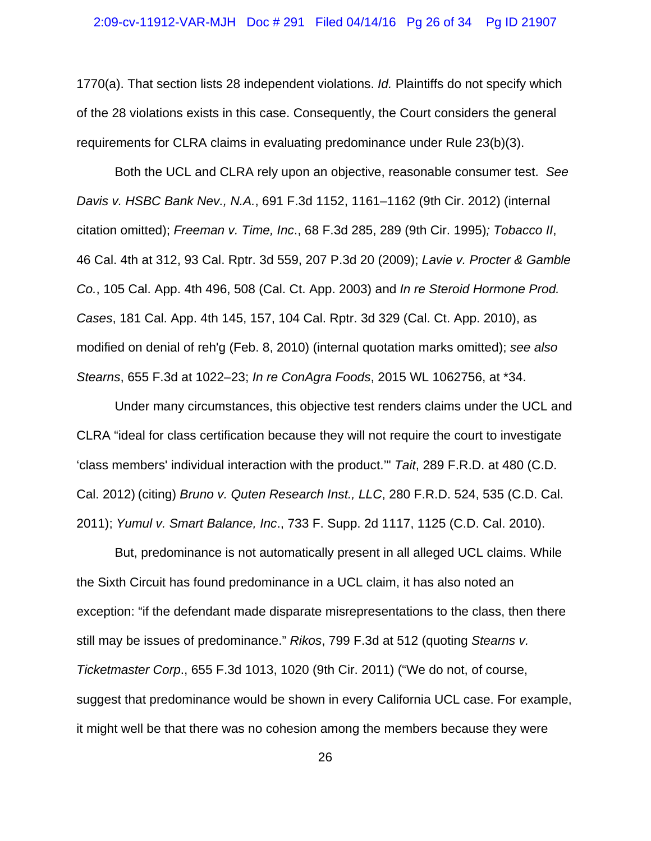1770(a). That section lists 28 independent violations. *Id.* Plaintiffs do not specify which of the 28 violations exists in this case. Consequently, the Court considers the general requirements for CLRA claims in evaluating predominance under Rule 23(b)(3).

Both the UCL and CLRA rely upon an objective, reasonable consumer test. *See Davis v. HSBC Bank Nev., N.A.*, 691 F.3d 1152, 1161–1162 (9th Cir. 2012) (internal citation omitted); *Freeman v. Time, Inc*., 68 F.3d 285, 289 (9th Cir. 1995)*; Tobacco II*, 46 Cal. 4th at 312, 93 Cal. Rptr. 3d 559, 207 P.3d 20 (2009); *Lavie v. Procter & Gamble Co.*, 105 Cal. App. 4th 496, 508 (Cal. Ct. App. 2003) and *In re Steroid Hormone Prod. Cases*, 181 Cal. App. 4th 145, 157, 104 Cal. Rptr. 3d 329 (Cal. Ct. App. 2010), as modified on denial of reh'g (Feb. 8, 2010) (internal quotation marks omitted); *see also Stearns*, 655 F.3d at 1022–23; *In re ConAgra Foods*, 2015 WL 1062756, at \*34.

Under many circumstances, this objective test renders claims under the UCL and CLRA "ideal for class certification because they will not require the court to investigate 'class members' individual interaction with the product.'" *Tait*, 289 F.R.D. at 480 (C.D. Cal. 2012) (citing) *Bruno v. Quten Research Inst., LLC*, 280 F.R.D. 524, 535 (C.D. Cal. 2011); *Yumul v. Smart Balance, Inc*., 733 F. Supp. 2d 1117, 1125 (C.D. Cal. 2010).

But, predominance is not automatically present in all alleged UCL claims. While the Sixth Circuit has found predominance in a UCL claim, it has also noted an exception: "if the defendant made disparate misrepresentations to the class, then there still may be issues of predominance." *Rikos*, 799 F.3d at 512 (quoting *Stearns v. Ticketmaster Corp*., 655 F.3d 1013, 1020 (9th Cir. 2011) ("We do not, of course, suggest that predominance would be shown in every California UCL case. For example, it might well be that there was no cohesion among the members because they were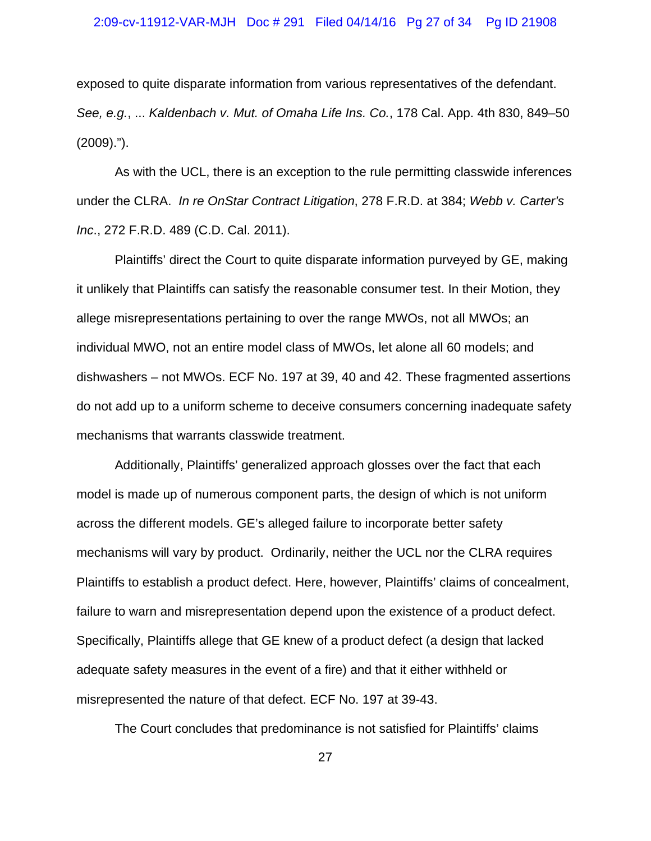#### 2:09-cv-11912-VAR-MJH Doc # 291 Filed 04/14/16 Pg 27 of 34 Pg ID 21908

exposed to quite disparate information from various representatives of the defendant. *See, e.g.*, ... *Kaldenbach v. Mut. of Omaha Life Ins. Co.*, 178 Cal. App. 4th 830, 849–50 (2009).").

As with the UCL, there is an exception to the rule permitting classwide inferences under the CLRA. *In re OnStar Contract Litigation*, 278 F.R.D. at 384; *Webb v. Carter's Inc*., 272 F.R.D. 489 (C.D. Cal. 2011).

Plaintiffs' direct the Court to quite disparate information purveyed by GE, making it unlikely that Plaintiffs can satisfy the reasonable consumer test. In their Motion, they allege misrepresentations pertaining to over the range MWOs, not all MWOs; an individual MWO, not an entire model class of MWOs, let alone all 60 models; and dishwashers – not MWOs. ECF No. 197 at 39, 40 and 42. These fragmented assertions do not add up to a uniform scheme to deceive consumers concerning inadequate safety mechanisms that warrants classwide treatment.

Additionally, Plaintiffs' generalized approach glosses over the fact that each model is made up of numerous component parts, the design of which is not uniform across the different models. GE's alleged failure to incorporate better safety mechanisms will vary by product. Ordinarily, neither the UCL nor the CLRA requires Plaintiffs to establish a product defect. Here, however, Plaintiffs' claims of concealment, failure to warn and misrepresentation depend upon the existence of a product defect. Specifically, Plaintiffs allege that GE knew of a product defect (a design that lacked adequate safety measures in the event of a fire) and that it either withheld or misrepresented the nature of that defect. ECF No. 197 at 39-43.

The Court concludes that predominance is not satisfied for Plaintiffs' claims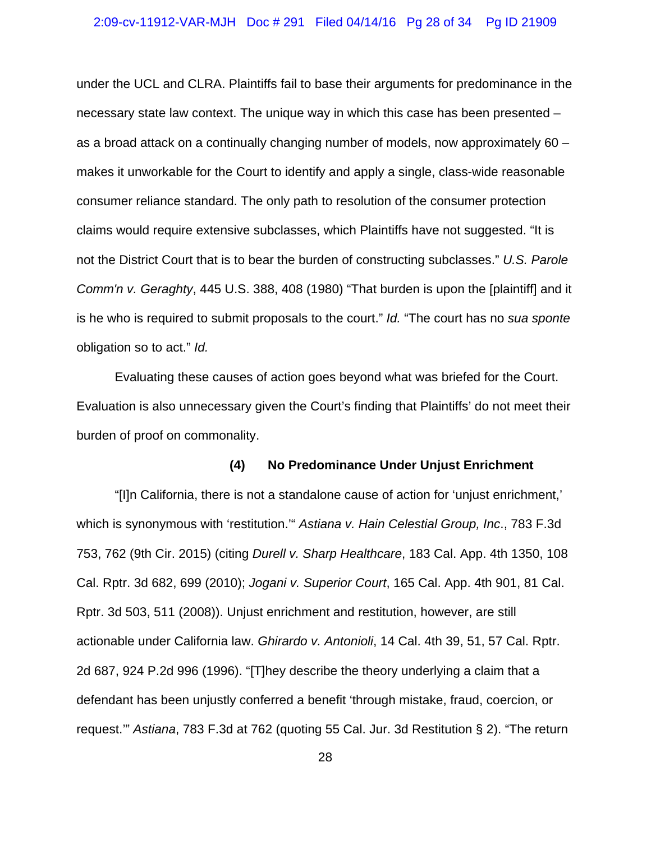under the UCL and CLRA. Plaintiffs fail to base their arguments for predominance in the necessary state law context. The unique way in which this case has been presented – as a broad attack on a continually changing number of models, now approximately 60 – makes it unworkable for the Court to identify and apply a single, class-wide reasonable consumer reliance standard. The only path to resolution of the consumer protection claims would require extensive subclasses, which Plaintiffs have not suggested. "It is not the District Court that is to bear the burden of constructing subclasses." *U.S. Parole Comm'n v. Geraghty*, 445 U.S. 388, 408 (1980) "That burden is upon the [plaintiff] and it is he who is required to submit proposals to the court." *Id.* "The court has no *sua sponte* obligation so to act." *Id.*

Evaluating these causes of action goes beyond what was briefed for the Court. Evaluation is also unnecessary given the Court's finding that Plaintiffs' do not meet their burden of proof on commonality.

## **(4) No Predominance Under Unjust Enrichment**

"[I]n California, there is not a standalone cause of action for 'unjust enrichment,' which is synonymous with 'restitution.'" *Astiana v. Hain Celestial Group, Inc*., 783 F.3d 753, 762 (9th Cir. 2015) (citing *Durell v. Sharp Healthcare*, 183 Cal. App. 4th 1350, 108 Cal. Rptr. 3d 682, 699 (2010); *Jogani v. Superior Court*, 165 Cal. App. 4th 901, 81 Cal. Rptr. 3d 503, 511 (2008)). Unjust enrichment and restitution, however, are still actionable under California law. *Ghirardo v. Antonioli*, 14 Cal. 4th 39, 51, 57 Cal. Rptr. 2d 687, 924 P.2d 996 (1996). "[T]hey describe the theory underlying a claim that a defendant has been unjustly conferred a benefit 'through mistake, fraud, coercion, or request.'" *Astiana*, 783 F.3d at 762 (quoting 55 Cal. Jur. 3d Restitution § 2). "The return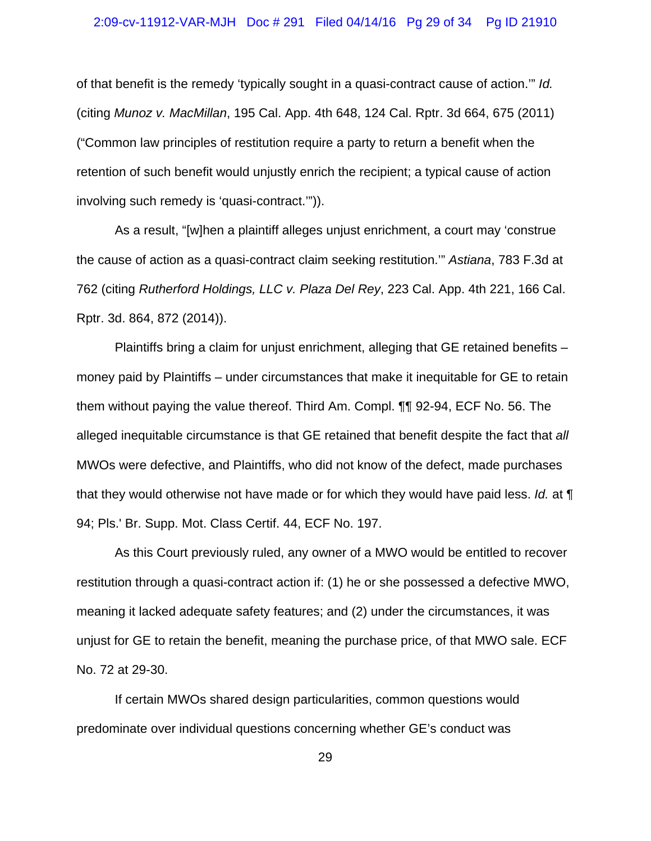#### 2:09-cv-11912-VAR-MJH Doc # 291 Filed 04/14/16 Pg 29 of 34 Pg ID 21910

of that benefit is the remedy 'typically sought in a quasi-contract cause of action.'" *Id.* (citing *Munoz v. MacMillan*, 195 Cal. App. 4th 648, 124 Cal. Rptr. 3d 664, 675 (2011) ("Common law principles of restitution require a party to return a benefit when the retention of such benefit would unjustly enrich the recipient; a typical cause of action involving such remedy is 'quasi-contract.'")).

As a result, "[w]hen a plaintiff alleges unjust enrichment, a court may 'construe the cause of action as a quasi-contract claim seeking restitution.'" *Astiana*, 783 F.3d at 762 (citing *Rutherford Holdings, LLC v. Plaza Del Rey*, 223 Cal. App. 4th 221, 166 Cal. Rptr. 3d. 864, 872 (2014)).

Plaintiffs bring a claim for unjust enrichment, alleging that GE retained benefits – money paid by Plaintiffs – under circumstances that make it inequitable for GE to retain them without paying the value thereof. Third Am. Compl. ¶¶ 92-94, ECF No. 56. The alleged inequitable circumstance is that GE retained that benefit despite the fact that *all* MWOs were defective, and Plaintiffs, who did not know of the defect, made purchases that they would otherwise not have made or for which they would have paid less. *Id.* at ¶ 94; Pls.' Br. Supp. Mot. Class Certif. 44, ECF No. 197.

As this Court previously ruled, any owner of a MWO would be entitled to recover restitution through a quasi-contract action if: (1) he or she possessed a defective MWO, meaning it lacked adequate safety features; and (2) under the circumstances, it was unjust for GE to retain the benefit, meaning the purchase price, of that MWO sale. ECF No. 72 at 29-30.

If certain MWOs shared design particularities, common questions would predominate over individual questions concerning whether GE's conduct was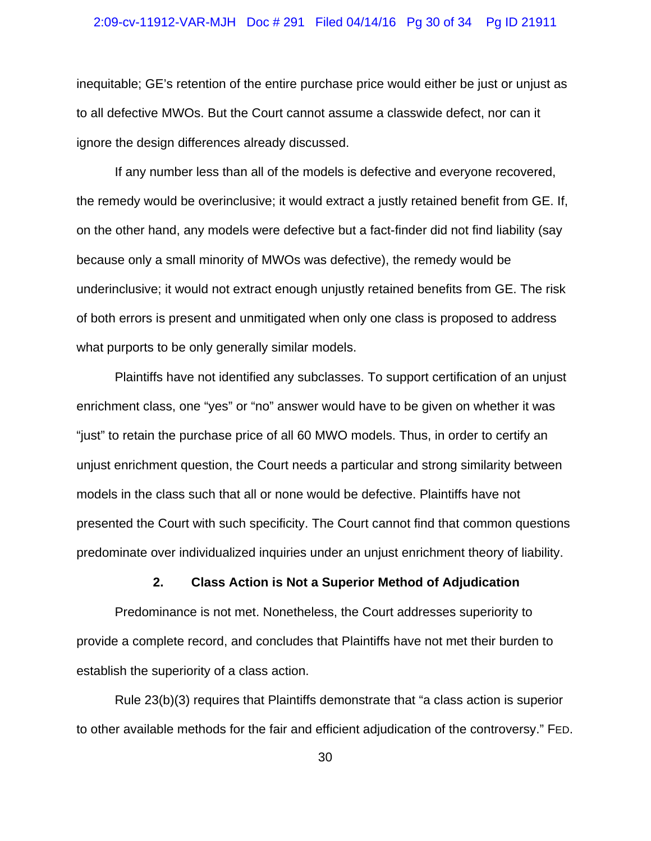## 2:09-cv-11912-VAR-MJH Doc # 291 Filed 04/14/16 Pg 30 of 34 Pg ID 21911

inequitable; GE's retention of the entire purchase price would either be just or unjust as to all defective MWOs. But the Court cannot assume a classwide defect, nor can it ignore the design differences already discussed.

If any number less than all of the models is defective and everyone recovered, the remedy would be overinclusive; it would extract a justly retained benefit from GE. If, on the other hand, any models were defective but a fact-finder did not find liability (say because only a small minority of MWOs was defective), the remedy would be underinclusive; it would not extract enough unjustly retained benefits from GE. The risk of both errors is present and unmitigated when only one class is proposed to address what purports to be only generally similar models.

Plaintiffs have not identified any subclasses. To support certification of an unjust enrichment class, one "yes" or "no" answer would have to be given on whether it was "just" to retain the purchase price of all 60 MWO models. Thus, in order to certify an unjust enrichment question, the Court needs a particular and strong similarity between models in the class such that all or none would be defective. Plaintiffs have not presented the Court with such specificity. The Court cannot find that common questions predominate over individualized inquiries under an unjust enrichment theory of liability.

## **2. Class Action is Not a Superior Method of Adjudication**

Predominance is not met. Nonetheless, the Court addresses superiority to provide a complete record, and concludes that Plaintiffs have not met their burden to establish the superiority of a class action.

Rule 23(b)(3) requires that Plaintiffs demonstrate that "a class action is superior to other available methods for the fair and efficient adjudication of the controversy." FED.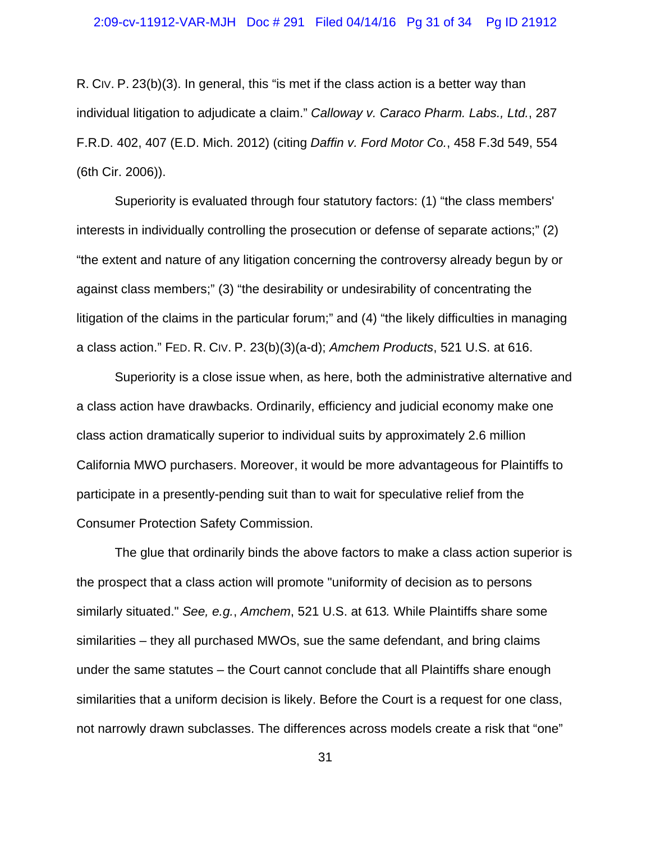R. CIV. P. 23(b)(3). In general, this "is met if the class action is a better way than individual litigation to adjudicate a claim." *Calloway v. Caraco Pharm. Labs., Ltd.*, 287 F.R.D. 402, 407 (E.D. Mich. 2012) (citing *Daffin v. Ford Motor Co.*, 458 F.3d 549, 554 (6th Cir. 2006)).

Superiority is evaluated through four statutory factors: (1) "the class members' interests in individually controlling the prosecution or defense of separate actions;" (2) "the extent and nature of any litigation concerning the controversy already begun by or against class members;" (3) "the desirability or undesirability of concentrating the litigation of the claims in the particular forum;" and (4) "the likely difficulties in managing a class action." FED. R. CIV. P. 23(b)(3)(a-d); *Amchem Products*, 521 U.S. at 616.

Superiority is a close issue when, as here, both the administrative alternative and a class action have drawbacks. Ordinarily, efficiency and judicial economy make one class action dramatically superior to individual suits by approximately 2.6 million California MWO purchasers. Moreover, it would be more advantageous for Plaintiffs to participate in a presently-pending suit than to wait for speculative relief from the Consumer Protection Safety Commission.

The glue that ordinarily binds the above factors to make a class action superior is the prospect that a class action will promote "uniformity of decision as to persons similarly situated." *See, e.g.*, *Amchem*, 521 U.S. at 613*.* While Plaintiffs share some similarities – they all purchased MWOs, sue the same defendant, and bring claims under the same statutes – the Court cannot conclude that all Plaintiffs share enough similarities that a uniform decision is likely. Before the Court is a request for one class, not narrowly drawn subclasses. The differences across models create a risk that "one"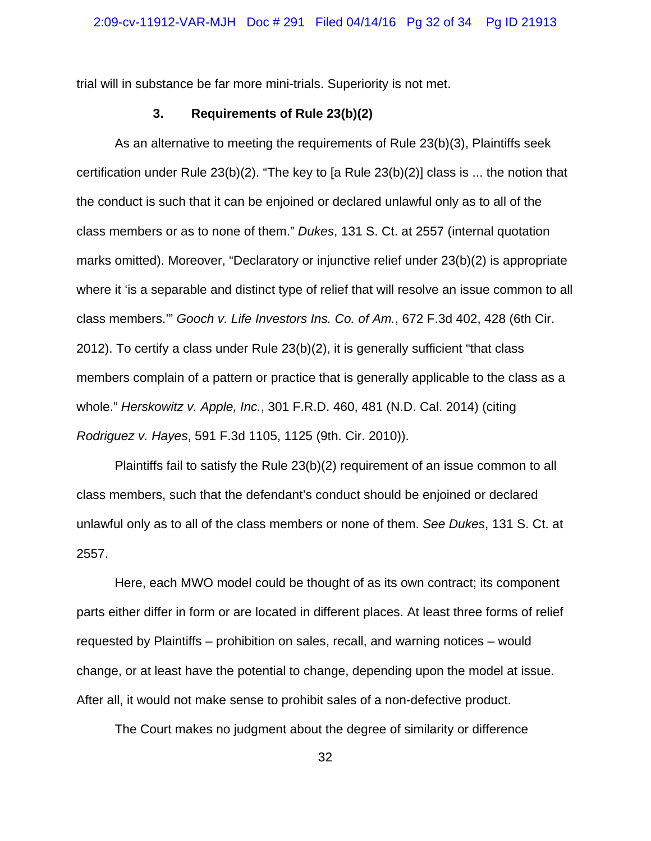trial will in substance be far more mini-trials. Superiority is not met.

## **3. Requirements of Rule 23(b)(2)**

As an alternative to meeting the requirements of Rule 23(b)(3), Plaintiffs seek certification under Rule 23(b)(2). "The key to [a Rule 23(b)(2)] class is ... the notion that the conduct is such that it can be enjoined or declared unlawful only as to all of the class members or as to none of them." *Dukes*, 131 S. Ct. at 2557 (internal quotation marks omitted). Moreover, "Declaratory or injunctive relief under 23(b)(2) is appropriate where it 'is a separable and distinct type of relief that will resolve an issue common to all class members.'" *Gooch v. Life Investors Ins. Co. of Am.*, 672 F.3d 402, 428 (6th Cir. 2012). To certify a class under Rule 23(b)(2), it is generally sufficient "that class members complain of a pattern or practice that is generally applicable to the class as a whole." *Herskowitz v. Apple, Inc.*, 301 F.R.D. 460, 481 (N.D. Cal. 2014) (citing *Rodriguez v. Hayes*, 591 F.3d 1105, 1125 (9th. Cir. 2010)).

Plaintiffs fail to satisfy the Rule 23(b)(2) requirement of an issue common to all class members, such that the defendant's conduct should be enjoined or declared unlawful only as to all of the class members or none of them. *See Dukes*, 131 S. Ct. at 2557.

Here, each MWO model could be thought of as its own contract; its component parts either differ in form or are located in different places. At least three forms of relief requested by Plaintiffs – prohibition on sales, recall, and warning notices – would change, or at least have the potential to change, depending upon the model at issue. After all, it would not make sense to prohibit sales of a non-defective product.

The Court makes no judgment about the degree of similarity or difference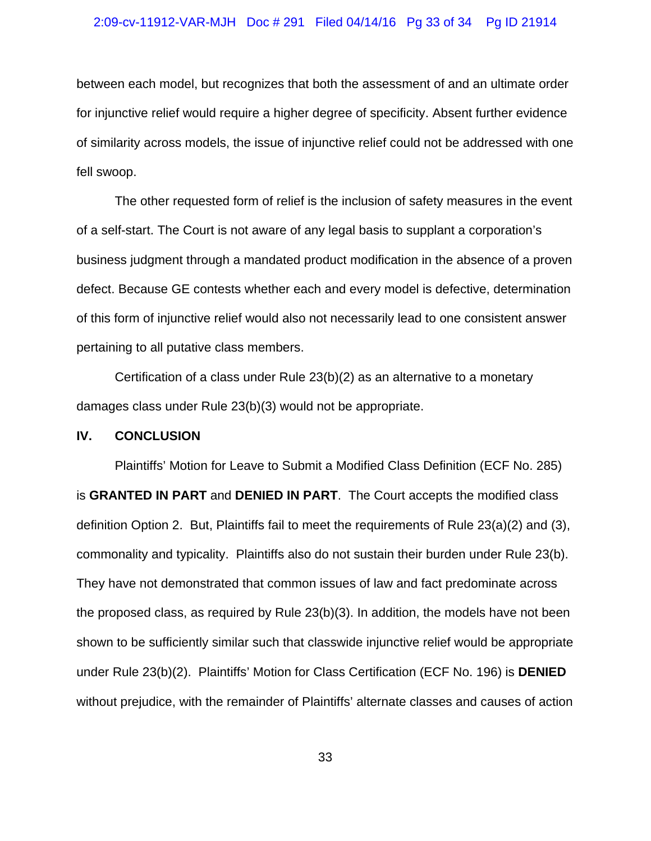## 2:09-cv-11912-VAR-MJH Doc # 291 Filed 04/14/16 Pg 33 of 34 Pg ID 21914

between each model, but recognizes that both the assessment of and an ultimate order for injunctive relief would require a higher degree of specificity. Absent further evidence of similarity across models, the issue of injunctive relief could not be addressed with one fell swoop.

The other requested form of relief is the inclusion of safety measures in the event of a self-start. The Court is not aware of any legal basis to supplant a corporation's business judgment through a mandated product modification in the absence of a proven defect. Because GE contests whether each and every model is defective, determination of this form of injunctive relief would also not necessarily lead to one consistent answer pertaining to all putative class members.

Certification of a class under Rule 23(b)(2) as an alternative to a monetary damages class under Rule 23(b)(3) would not be appropriate.

## **IV. CONCLUSION**

Plaintiffs' Motion for Leave to Submit a Modified Class Definition (ECF No. 285) is **GRANTED IN PART** and **DENIED IN PART**. The Court accepts the modified class definition Option 2. But, Plaintiffs fail to meet the requirements of Rule 23(a)(2) and (3), commonality and typicality. Plaintiffs also do not sustain their burden under Rule 23(b). They have not demonstrated that common issues of law and fact predominate across the proposed class, as required by Rule 23(b)(3). In addition, the models have not been shown to be sufficiently similar such that classwide injunctive relief would be appropriate under Rule 23(b)(2). Plaintiffs' Motion for Class Certification (ECF No. 196) is **DENIED** without prejudice, with the remainder of Plaintiffs' alternate classes and causes of action